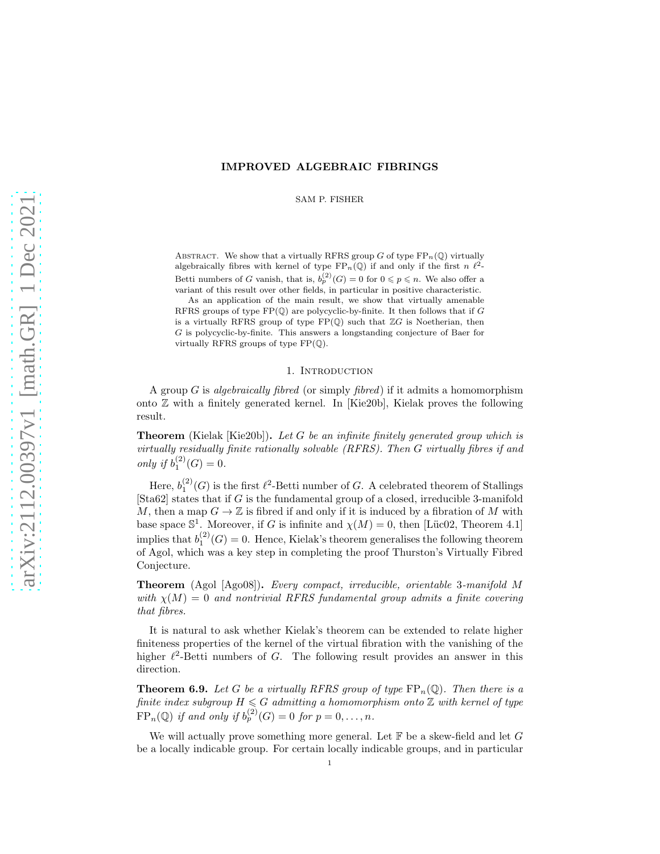## IMPROVED ALGEBRAIC FIBRINGS

SAM P. FISHER

ABSTRACT. We show that a virtually RFRS group G of type  $\text{FP}_n(\mathbb{Q})$  virtually algebraically fibres with kernel of type  $\mathbb{FP}_n(\mathbb{Q})$  if and only if the first  $n \ell^2$ -Betti numbers of G vanish, that is,  $b_p^{(2)}(G) = 0$  for  $0 \leq p \leq n$ . We also offer a variant of this result over other fields, in particular in positive characteristic.

As an application of the main result, we show that virtually amenable RFRS groups of type  $FP(\mathbb{Q})$  are polycyclic-by-finite. It then follows that if G is a virtually RFRS group of type  $FP(\mathbb{Q})$  such that  $\mathbb{Z}G$  is Noetherian, then G is polycyclic-by-finite. This answers a longstanding conjecture of Baer for virtually RFRS groups of type FP(Q).

### 1. INTRODUCTION

A group G is *algebraically fibred* (or simply *fibred*) if it admits a homomorphism onto  $\mathbb Z$  with a finitely generated kernel. In [\[Kie20b\]](#page-19-0), Kielak proves the following result.

Theorem (Kielak [\[Kie20b\]](#page-19-0)). *Let* G *be an infinite finitely generated group which is virtually residually finite rationally solvable (RFRS). Then* G *virtually fibres if and only if*  $b_1^{(2)}(G) = 0$ .

Here,  $b_1^{(2)}(G)$  is the first  $\ell^2$ -Betti number of G. A celebrated theorem of Stallings  $[Sta62]$  states that if G is the fundamental group of a closed, irreducible 3-manifold M, then a map  $G \to \mathbb{Z}$  is fibred if and only if it is induced by a fibration of M with base space  $\mathbb{S}^1$ . Moreover, if G is infinite and  $\chi(M) = 0$ , then [Lüc02, Theorem 4.1] implies that  $b_1^{(2)}(G) = 0$ . Hence, Kielak's theorem generalises the following theorem of Agol, which was a key step in completing the proof Thurston's Virtually Fibred Conjecture.

Theorem (Agol [\[Ago08\]](#page-19-3)). *Every compact, irreducible, orientable* 3*-manifold* M *with*  $\chi(M) = 0$  *and nontrivial RFRS fundamental group admits a finite covering that fibres.*

It is natural to ask whether Kielak's theorem can be extended to relate higher finiteness properties of the kernel of the virtual fibration with the vanishing of the higher  $\ell^2$ -Betti numbers of G. The following result provides an answer in this direction.

**Theorem [6.9.](#page-17-0)** Let G be a virtually RFRS group of type  $\text{FP}_n(\mathbb{Q})$ . Then there is a *finite index subgroup*  $H \le G$  *admitting a homomorphism onto*  $\mathbb{Z}$  *with kernel of type*  $\text{FP}_n(\mathbb{Q})$  if and only if  $b_p^{(2)}(G) = 0$  for  $p = 0, \ldots, n$ .

We will actually prove something more general. Let  $\mathbb F$  be a skew-field and let G be a locally indicable group. For certain locally indicable groups, and in particular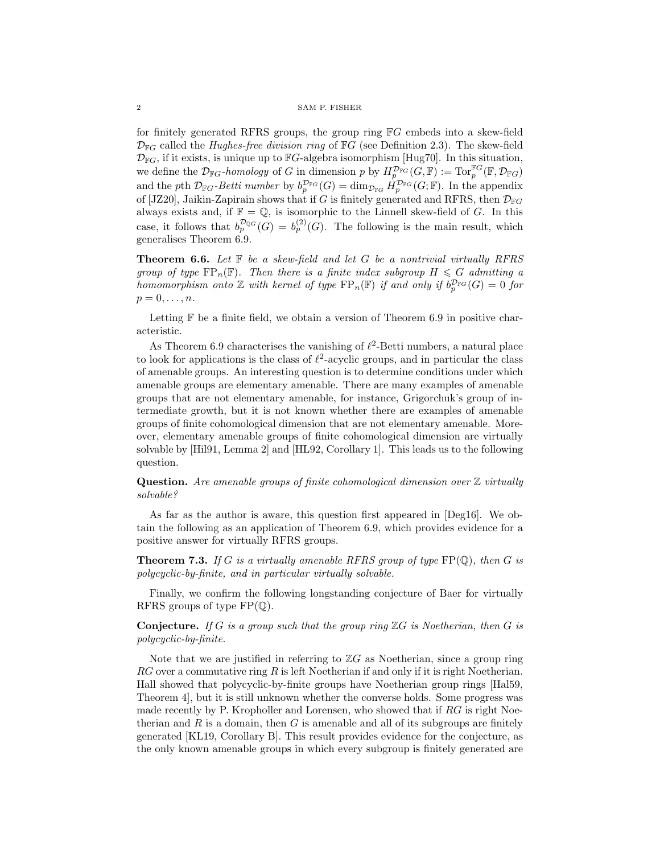for finitely generated RFRS groups, the group ring FG embeds into a skew-field  $\mathcal{D}_{\mathbb{F}G}$  called the *Hughes-free division ring* of  $\mathbb{F}G$  (see Definition [2.3\)](#page-3-0). The skew-field  $\mathcal{D}_{\mathbb{F}G}$ , if it exists, is unique up to  $\mathbb{F}G$ -algebra isomorphism [\[Hug70\]](#page-19-4). In this situation, we define the  $\mathcal{D}_{\mathbb{F}G}$ -homology of G in dimension p by  $H_{p}^{\mathcal{D}_{\mathbb{F}G}}(G,\mathbb{F}) := \text{Tor}_p^{\mathbb{F}G}(\mathbb{F},\mathcal{D}_{\mathbb{F}G})$ and the pth  $\mathcal{D}_{\mathbb{F}G}$ -*Betti number* by  $b_p^{\mathcal{D}_{\mathbb{F}G}}(G) = \dim_{\mathcal{D}_{\mathbb{F}G}} H_p^{\mathcal{D}_{\mathbb{F}G}}(G; \mathbb{F})$ . In the appendix of [\[JZ20\]](#page-19-5), Jaikin-Zapirain shows that if G is finitely generated and RFRS, then  $\mathcal{D}_{\mathbb{F}G}$ always exists and, if  $\mathbb{F} = \mathbb{Q}$ , is isomorphic to the Linnell skew-field of G. In this case, it follows that  $b_p^{\mathcal{D}_{\mathbb{Q}G}}(G) = b_p^{(2)}(G)$ . The following is the main result, which generalises Theorem [6.9.](#page-17-0)

Theorem [6.6.](#page-16-0) *Let* F *be a skew-field and let* G *be a nontrivial virtually RFRS group of type*  $\text{FP}_n(\mathbb{F})$ *. Then there is a finite index subgroup*  $H \leq G$  *admitting a homomorphism onto*  $\mathbb Z$  *with kernel of type*  $\text{FP}_n(\mathbb F)$  *if and only if*  $b_p^{\mathcal{D}_{\mathbb F G}}(G) = 0$  *for*  $p=0,\ldots,n$ .

Letting  $\mathbb F$  be a finite field, we obtain a version of Theorem [6.9](#page-17-0) in positive characteristic.

As Theorem [6.9](#page-17-0) characterises the vanishing of  $\ell^2$ -Betti numbers, a natural place to look for applications is the class of  $\ell^2$ -acyclic groups, and in particular the class of amenable groups. An interesting question is to determine conditions under which amenable groups are elementary amenable. There are many examples of amenable groups that are not elementary amenable, for instance, Grigorchuk's group of intermediate growth, but it is not known whether there are examples of amenable groups of finite cohomological dimension that are not elementary amenable. Moreover, elementary amenable groups of finite cohomological dimension are virtually solvable by [\[Hil91,](#page-19-6) Lemma 2] and [\[HL92,](#page-19-7) Corollary 1]. This leads us to the following question.

Question. *Are amenable groups of finite cohomological dimension over* Z *virtually solvable?*

As far as the author is aware, this question first appeared in [\[Deg16\]](#page-19-8). We obtain the following as an application of Theorem [6.9,](#page-17-0) which provides evidence for a positive answer for virtually RFRS groups.

Theorem [7.3.](#page-18-0) *If* G *is a virtually amenable RFRS group of type* FP(Q)*, then* G *is polycyclic-by-finite, and in particular virtually solvable.*

Finally, we confirm the following longstanding conjecture of Baer for virtually RFRS groups of type  $FP(\mathbb{Q})$ .

Conjecture. *If* G *is a group such that the group ring* ZG *is Noetherian, then* G *is polycyclic-by-finite.*

Note that we are justified in referring to  $ZG$  as Noetherian, since a group ring  $RG$  over a commutative ring R is left Noetherian if and only if it is right Noetherian. Hall showed that polycyclic-by-finite groups have Noetherian group rings [\[Hal59,](#page-19-9) Theorem 4], but it is still unknown whether the converse holds. Some progress was made recently by P. Kropholler and Lorensen, who showed that if RG is right Noetherian and  $R$  is a domain, then  $G$  is amenable and all of its subgroups are finitely generated [\[KL19,](#page-19-10) Corollary B]. This result provides evidence for the conjecture, as the only known amenable groups in which every subgroup is finitely generated are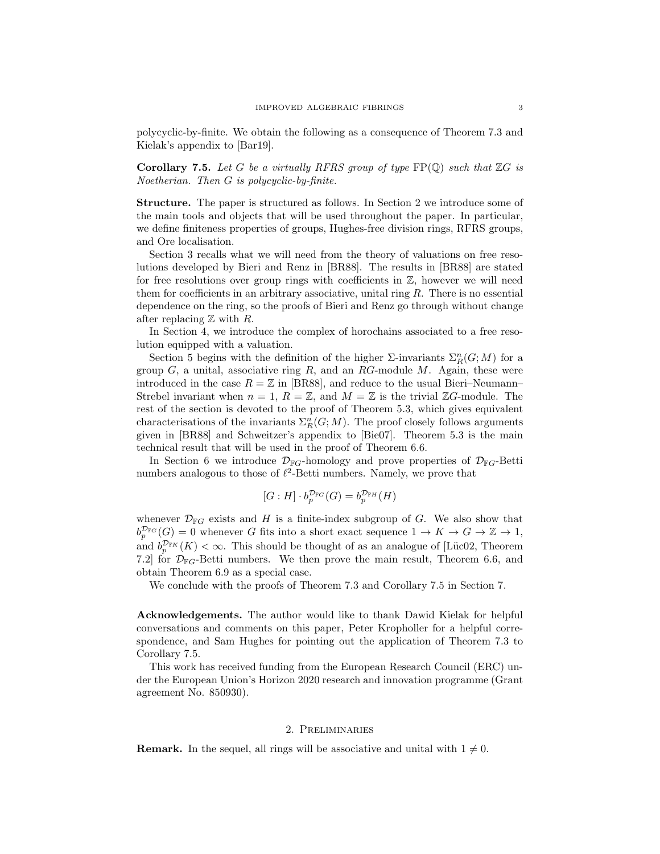polycyclic-by-finite. We obtain the following as a consequence of Theorem [7.3](#page-18-0) and Kielak's appendix to [\[Bar19\]](#page-19-11).

Corollary [7.5.](#page-18-1) *Let* G *be a virtually RFRS group of type* FP(Q) *such that* ZG *is Noetherian. Then* G *is polycyclic-by-finite.*

Structure. The paper is structured as follows. In Section [2](#page-2-0) we introduce some of the main tools and objects that will be used throughout the paper. In particular, we define finiteness properties of groups, Hughes-free division rings, RFRS groups, and Ore localisation.

Section [3](#page-6-0) recalls what we will need from the theory of valuations on free resolutions developed by Bieri and Renz in [\[BR88\]](#page-19-12). The results in [\[BR88\]](#page-19-12) are stated for free resolutions over group rings with coefficients in  $\mathbb{Z}$ , however we will need them for coefficients in an arbitrary associative, unital ring  $R$ . There is no essential dependence on the ring, so the proofs of Bieri and Renz go through without change after replacing  $\mathbb Z$  with  $R$ .

In Section [4,](#page-8-0) we introduce the complex of horochains associated to a free resolution equipped with a valuation.

Section [5](#page-9-0) begins with the definition of the higher  $\Sigma$ -invariants  $\Sigma_R^n(G;M)$  for a group  $G$ , a unital, associative ring  $R$ , and an  $RG$ -module  $M$ . Again, these were introduced in the case  $R = \mathbb{Z}$  in [\[BR88\]](#page-19-12), and reduce to the usual Bieri–Neumann– Strebel invariant when  $n = 1, R = \mathbb{Z}$ , and  $M = \mathbb{Z}$  is the trivial  $\mathbb{Z}G$ -module. The rest of the section is devoted to the proof of Theorem [5.3,](#page-10-0) which gives equivalent characterisations of the invariants  $\Sigma_R^n(G;M)$ . The proof closely follows arguments given in [\[BR88\]](#page-19-12) and Schweitzer's appendix to [\[Bie07\]](#page-19-13). Theorem [5.3](#page-10-0) is the main technical result that will be used in the proof of Theorem [6.6.](#page-16-0)

In Section [6](#page-14-0) we introduce  $\mathcal{D}_{\mathbb{F}G}$ -homology and prove properties of  $\mathcal{D}_{\mathbb{F}G}$ -Betti numbers analogous to those of  $\ell^2$ -Betti numbers. Namely, we prove that

$$
[G:H] \cdot b_p^{\mathcal{D}_{\mathbb{F}^G}}(G) = b_p^{\mathcal{D}_{\mathbb{F}^H}}(H)
$$

whenever  $\mathcal{D}_{\mathbb{F}G}$  exists and H is a finite-index subgroup of G. We also show that  $b_p^{\mathcal{D}_{FG}}(G) = 0$  whenever G fits into a short exact sequence  $1 \to K \to G \to \mathbb{Z} \to 1$ , and  $b_p^{\mathcal{D}_{FK}}(K) < \infty$ . This should be thought of as an analogue of [Lüc02, Theorem 7.2] for  $\mathcal{D}_{\mathbb{F}G}$ -Betti numbers. We then prove the main result, Theorem [6.6,](#page-16-0) and obtain Theorem [6.9](#page-17-0) as a special case.

We conclude with the proofs of Theorem [7.3](#page-18-0) and Corollary [7.5](#page-18-1) in Section [7.](#page-17-1)

Acknowledgements. The author would like to thank Dawid Kielak for helpful conversations and comments on this paper, Peter Kropholler for a helpful correspondence, and Sam Hughes for pointing out the application of Theorem [7.3](#page-18-0) to Corollary [7.5.](#page-18-1)

This work has received funding from the European Research Council (ERC) under the European Union's Horizon 2020 research and innovation programme (Grant agreement No. 850930).

## 2. Preliminaries

<span id="page-2-0"></span>**Remark.** In the sequel, all rings will be associative and unital with  $1 \neq 0$ .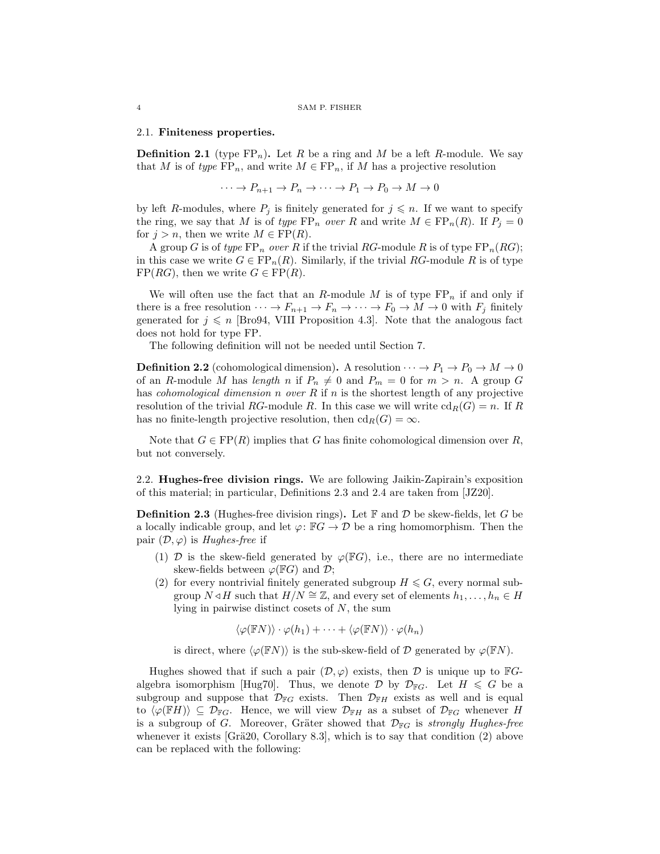#### 2.1. Finiteness properties.

**Definition 2.1** (type  $\text{FP}_n$ ). Let R be a ring and M be a left R-module. We say that M is of *type*  $\text{FP}_n$ , and write  $M \in \text{FP}_n$ , if M has a projective resolution

$$
\cdots \to P_{n+1} \to P_n \to \cdots \to P_1 \to P_0 \to M \to 0
$$

by left R-modules, where  $P_j$  is finitely generated for  $j \leq n$ . If we want to specify the ring, we say that M is of *type*  $\operatorname{FP}_n$  *over* R and write  $M \in \operatorname{FP}_n(R)$ . If  $P_j = 0$ for  $j > n$ , then we write  $M \in \text{FP}(R)$ .

A group G is of *type*  $\overline{FP}_n$  *over* R if the trivial RG-module R is of type  $\overline{FP}_n(RG)$ ; in this case we write  $G \in \{FP_n(R)\}$ . Similarly, if the trivial RG-module R is of type  $FP(RG)$ , then we write  $G \in FP(R)$ .

We will often use the fact that an R-module  $M$  is of type  $\overline{FP}_n$  if and only if there is a free resolution  $\cdots \to F_{n+1} \to F_n \to \cdots \to F_0 \to M \to 0$  with  $F_j$  finitely generated for  $j \leq n$  [\[Bro94,](#page-19-14) VIII Proposition 4.3]. Note that the analogous fact does not hold for type FP.

The following definition will not be needed until Section [7.](#page-17-1)

**Definition 2.2** (cohomological dimension). A resolution  $\cdots \rightarrow P_1 \rightarrow P_0 \rightarrow M \rightarrow 0$ of an R-module M has *length* n if  $P_n \neq 0$  and  $P_m = 0$  for  $m > n$ . A group G has *cohomological dimension* n *over* R if n is the shortest length of any projective resolution of the trivial RG-module R. In this case we will write  $\text{cd}_R(G) = n$ . If R has no finite-length projective resolution, then  $\text{cd}_R(G) = \infty$ .

Note that  $G \in \mathrm{FP}(R)$  implies that G has finite cohomological dimension over R, but not conversely.

<span id="page-3-0"></span>2.2. Hughes-free division rings. We are following Jaikin-Zapirain's exposition of this material; in particular, Definitions [2.3](#page-3-0) and [2.4](#page-4-0) are taken from [\[JZ20\]](#page-19-5).

**Definition 2.3** (Hughes-free division rings). Let  $\mathbb{F}$  and  $\mathcal{D}$  be skew-fields, let G be a locally indicable group, and let  $\varphi: \mathbb{F}G \to \mathcal{D}$  be a ring homomorphism. Then the pair  $(\mathcal{D}, \varphi)$  is *Hughes-free* if

- (1) D is the skew-field generated by  $\varphi(\mathbb{F}G)$ , i.e., there are no intermediate skew-fields between  $\varphi(FG)$  and  $\mathcal{D}$ ;
- (2) for every nontrivial finitely generated subgroup  $H \leqslant G$ , every normal subgroup  $N \triangleleft H$  such that  $H/N \cong \mathbb{Z}$ , and every set of elements  $h_1, \ldots, h_n \in H$ lying in pairwise distinct cosets of  $N$ , the sum

$$
\langle \varphi(\mathbb{F}N)\rangle \cdot \varphi(h_1) + \cdots + \langle \varphi(\mathbb{F}N)\rangle \cdot \varphi(h_n)
$$

is direct, where  $\langle \varphi(\mathbb{F}N)\rangle$  is the sub-skew-field of D generated by  $\varphi(\mathbb{F}N)$ .

Hughes showed that if such a pair  $(\mathcal{D}, \varphi)$  exists, then  $\mathcal D$  is unique up to  $\mathbb{F}G$ algebra isomorphism Hug70. Thus, we denote  $\mathcal{D}$  by  $\mathcal{D}_{\mathbb{F}G}$ . Let  $H \leq G$  be a subgroup and suppose that  $\mathcal{D}_{\mathbb{F}G}$  exists. Then  $\mathcal{D}_{\mathbb{F}H}$  exists as well and is equal to  $\langle \varphi(\mathbb{F}H) \rangle \subseteq \mathcal{D}_{\mathbb{F}G}$ . Hence, we will view  $\mathcal{D}_{\mathbb{F}H}$  as a subset of  $\mathcal{D}_{\mathbb{F}G}$  whenever H is a subgroup of G. Moreover, Gräter showed that  $\mathcal{D}_{\mathbb{F}G}$  is *strongly Hughes-free* whenever it exists  $[Gri420, Corollary 8.3],$  which is to say that condition (2) above can be replaced with the following: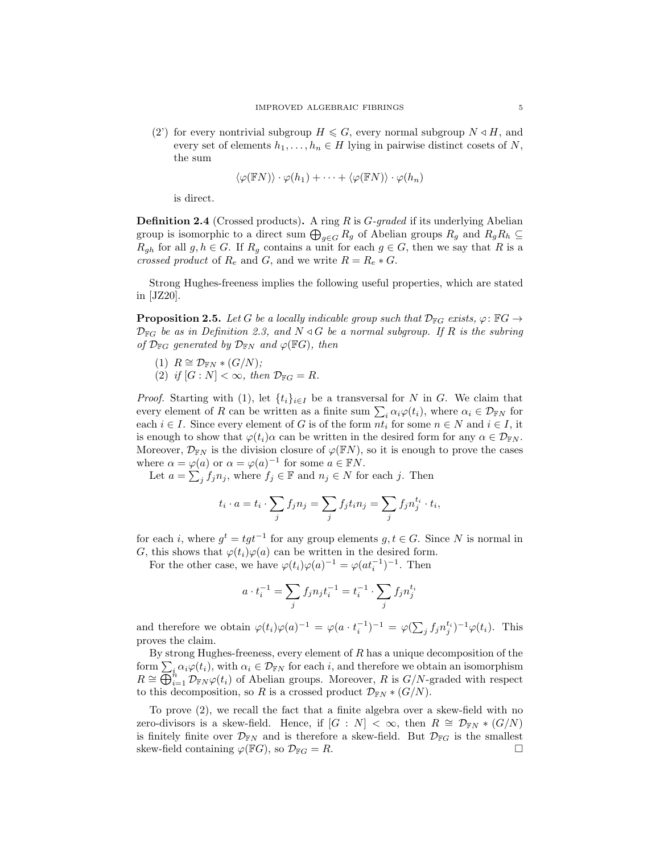<span id="page-4-3"></span>(2') for every nontrivial subgroup  $H \leq G$ , every normal subgroup  $N \triangleleft H$ , and every set of elements  $h_1, \ldots, h_n \in H$  lying in pairwise distinct cosets of N, the sum

$$
\langle \varphi(\mathbb{F}N) \rangle \cdot \varphi(h_1) + \cdots + \langle \varphi(\mathbb{F}N) \rangle \cdot \varphi(h_n)
$$

is direct.

<span id="page-4-0"></span>Definition 2.4 (Crossed products). A ring R is G*-graded* if its underlying Abelian group is isomorphic to a direct sum  $\bigoplus_{g\in G} R_g$  of Abelian groups  $R_g$  and  $R_g R_h \subseteq$  $R_{gh}$  for all  $g, h \in G$ . If  $R_g$  contains a unit for each  $g \in G$ , then we say that R is a *crossed product* of  $R_e$  and  $G$ , and we write  $R = R_e * G$ .

<span id="page-4-4"></span>Strong Hughes-freeness implies the following useful properties, which are stated in [\[JZ20\]](#page-19-5).

**Proposition 2.5.** Let G be a locally indicable group such that  $\mathcal{D}_{\mathbb{F}G}$  exists,  $\varphi: \mathbb{F}G \to$  $\mathcal{D}_{\mathbb{F}G}$  *be as in Definition [2.3,](#page-3-0) and*  $N \triangleleft G$  *be a normal subgroup. If* R *is the subring of*  $\mathcal{D}_{\mathbb{F}G}$  generated by  $\mathcal{D}_{\mathbb{F}N}$  and  $\varphi(\mathbb{F}G)$ *, then* 

- <span id="page-4-2"></span><span id="page-4-1"></span>(1)  $R \cong \mathcal{D}_{\mathbb{F}N} * (G/N);$
- (2) *if*  $[G : N] < \infty$ *, then*  $\mathcal{D}_{\mathbb{F}G} = R$ *.*

*Proof.* Starting with [\(1\),](#page-4-1) let  $\{t_i\}_{i\in I}$  be a transversal for N in G. We claim that every element of R can be written as a finite sum  $\sum_i \alpha_i \varphi(t_i)$ , where  $\alpha_i \in \mathcal{D}_{FN}$  for each  $i \in I$ . Since every element of G is of the form  $nt_i$  for some  $n \in N$  and  $i \in I$ , it is enough to show that  $\varphi(t_i)\alpha$  can be written in the desired form for any  $\alpha \in \mathcal{D}_{\mathbb{F}N}$ . Moreover,  $\mathcal{D}_{FN}$  is the division closure of  $\varphi(\mathbb{F}N)$ , so it is enough to prove the cases where  $\alpha = \varphi(a)$  or  $\alpha = \varphi(a)^{-1}$  for some  $a \in \mathbb{F}N$ .

Let  $a = \sum_j f_j n_j$ , where  $f_j \in \mathbb{F}$  and  $n_j \in N$  for each j. Then

$$
t_i \cdot a = t_i \cdot \sum_j f_j n_j = \sum_j f_j t_i n_j = \sum_j f_j n_j^{t_i} \cdot t_i,
$$

for each i, where  $g^t = tgt^{-1}$  for any group elements  $g, t \in G$ . Since N is normal in G, this shows that  $\varphi(t_i)\varphi(a)$  can be written in the desired form.

For the other case, we have  $\varphi(t_i)\varphi(a)^{-1} = \varphi(at_i^{-1})^{-1}$ . Then

$$
a \cdot t_i^{-1} = \sum_j f_j n_j t_i^{-1} = t_i^{-1} \cdot \sum_j f_j n_j^{t_i}
$$

and therefore we obtain  $\varphi(t_i)\varphi(a)^{-1} = \varphi(a \cdot t_i^{-1})^{-1} = \varphi(\sum_j f_j n_j^{t_i})^{-1} \varphi(t_i)$ . This proves the claim.

By strong Hughes-freeness, every element of  $R$  has a unique decomposition of the form  $\sum_i \alpha_i \varphi(t_i)$ , with  $\alpha_i \in \mathcal{D}_{FN}$  for each i, and therefore we obtain an isomorphism  $R \cong \overline{\bigoplus}_{i=1}^n \mathcal{D}_{\mathbb{F}N} \varphi(t_i)$  of Abelian groups. Moreover, R is  $G/N$ -graded with respect to this decomposition, so R is a crossed product  $\mathcal{D}_{FN} * (G/N)$ .

To prove [\(2\),](#page-4-2) we recall the fact that a finite algebra over a skew-field with no zero-divisors is a skew-field. Hence, if  $[G : N] < \infty$ , then  $R \cong \mathcal{D}_{\mathbb{F}N} * (G/N)$ is finitely finite over  $\mathcal{D}_{FN}$  and is therefore a skew-field. But  $\mathcal{D}_{FG}$  is the smallest skew-field containing  $\varphi(\mathbb{F}G)$ , so  $\mathcal{D}_{\mathbb{F}G} = R$ .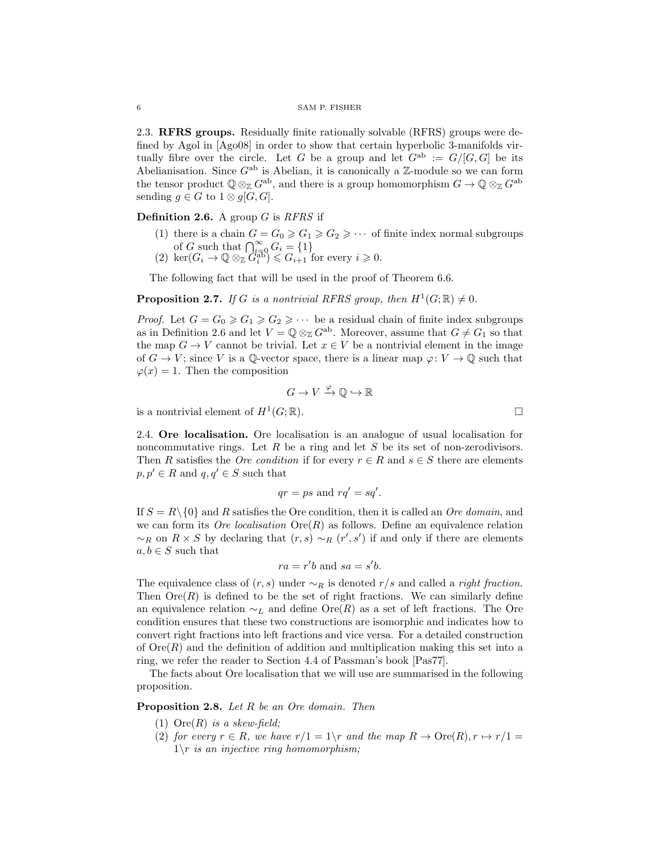2.3. RFRS groups. Residually finite rationally solvable (RFRS) groups were defined by Agol in [\[Ago08\]](#page-19-3) in order to show that certain hyperbolic 3-manifolds virtually fibre over the circle. Let G be a group and let  $G^{ab} := G/[G, G]$  be its Abelianisation. Since  $G^{ab}$  is Abelian, it is canonically a Z-module so we can form the tensor product  $\mathbb{Q} \otimes_{\mathbb{Z}} G^{ab}$ , and there is a group homomorphism  $G \to \mathbb{Q} \otimes_{\mathbb{Z}} G^{ab}$ sending  $g \in G$  to  $1 \otimes g[G, G]$ .

<span id="page-5-0"></span>Definition 2.6. A group G is *RFRS* if

- (1) there is a chain  $G = G_0 \geq G_1 \geq G_2 \geq \cdots$  of finite index normal subgroups of G such that  $\bigcap_{i=0}^{\infty} G_i = \{1\}$
- $(2) \ \ker(G_i \to \mathbb{Q} \otimes_{\mathbb{Z}} \check{G}_i^{\text{ab}}) \leqslant G_{i+1} \text{ for every } i \geqslant 0.$

<span id="page-5-1"></span>The following fact that will be used in the proof of Theorem [6.6.](#page-16-0)

**Proposition 2.7.** *If G is a nontrivial RFRS group, then*  $H^1(G; \mathbb{R}) \neq 0$ *.* 

*Proof.* Let  $G = G_0 \geq G_1 \geq G_2 \geq \cdots$  be a residual chain of finite index subgroups as in Definition [2.6](#page-5-0) and let  $V = \mathbb{Q} \otimes_{\mathbb{Z}} G^{ab}$ . Moreover, assume that  $G \neq G_1$  so that the map  $G \to V$  cannot be trivial. Let  $x \in V$  be a nontrivial element in the image of  $G \to V$ ; since V is a  $\mathbb{Q}$ -vector space, there is a linear map  $\varphi: V \to \mathbb{Q}$  such that  $\varphi(x) = 1$ . Then the composition

$$
G\to V\xrightarrow{\varphi}\mathbb{Q}\hookrightarrow\mathbb{R}
$$

is a nontrivial element of  $H^1(G; \mathbb{R})$ .

2.4. Ore localisation. Ore localisation is an analogue of usual localisation for noncommutative rings. Let R be a ring and let S be its set of non-zerodivisors. Then R satisfies the *Ore condition* if for every  $r \in R$  and  $s \in S$  there are elements  $p, p' \in R$  and  $q, q' \in S$  such that

$$
qr = ps \text{ and } rq' = sq'.
$$

If S = R\{0} and R satisfies the Ore condition, then it is called an *Ore domain*, and we can form its *Ore localisation*  $Ore(R)$  as follows. Define an equivalence relation  $\sim_R$  on  $R \times S$  by declaring that  $(r, s) \sim_R (r', s')$  if and only if there are elements  $a, b \in S$  such that

$$
ra = r'b
$$
 and  $sa = s'b$ .

The equivalence class of (r, s) under ∼<sup>R</sup> is denoted r/s and called a *right fraction*. Then  $Ore(R)$  is defined to be the set of right fractions. We can similarly define an equivalence relation  $\sim_L$  and define Ore(R) as a set of left fractions. The Ore condition ensures that these two constructions are isomorphic and indicates how to convert right fractions into left fractions and vice versa. For a detailed construction of  $Ore(R)$  and the definition of addition and multiplication making this set into a ring, we refer the reader to Section 4.4 of Passman's book [\[Pas77\]](#page-19-16).

The facts about Ore localisation that we will use are summarised in the following proposition.

Proposition 2.8. *Let* R *be an Ore domain. Then*

- (1) Ore(R) *is a skew-field;*
- (2) *for every*  $r \in R$ *, we have*  $r/1 = 1 \rceil r$  *and the map*  $R \to \text{Ore}(R)$ ,  $r \mapsto r/1 =$ 1\r *is an injective ring homomorphism;*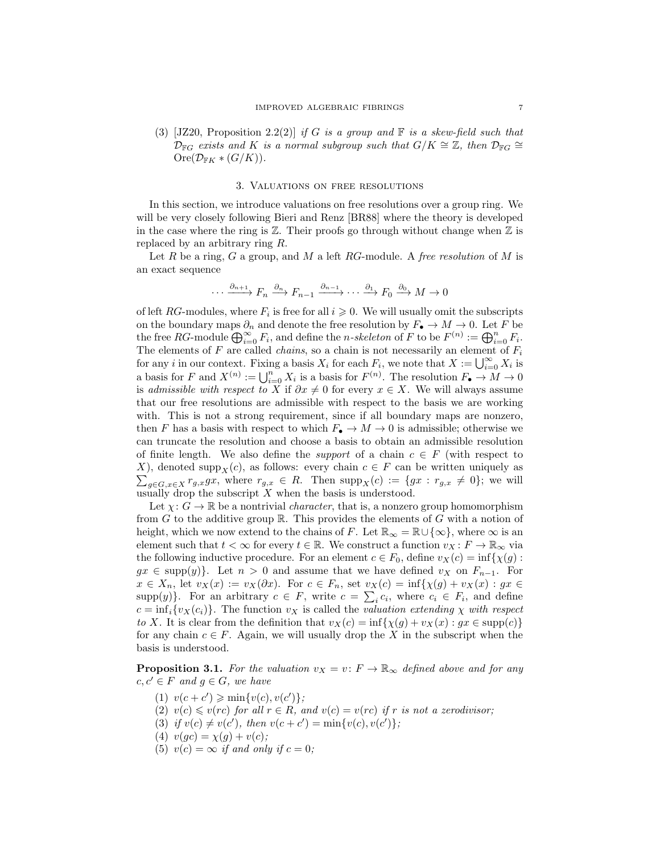(3) [\[JZ20,](#page-19-5) Proposition 2.2(2)] *if* G *is a group and* F *is a skew-field such that*  $\mathcal{D}_{\mathbb{F}G}$  exists and K *is a normal subgroup such that*  $G/K \cong \mathbb{Z}$ *, then*  $\mathcal{D}_{\mathbb{F}G} \cong$  $Ore(\mathcal{D}_{\mathbb{F} K} * (G/K)).$ 

## 3. Valuations on free resolutions

<span id="page-6-0"></span>In this section, we introduce valuations on free resolutions over a group ring. We will be very closely following Bieri and Renz [\[BR88\]](#page-19-12) where the theory is developed in the case where the ring is  $\mathbb{Z}$ . Their proofs go through without change when  $\mathbb{Z}$  is replaced by an arbitrary ring R.

Let R be a ring, G a group, and M a left RG-module. A *free resolution* of M is an exact sequence

$$
\cdots \xrightarrow{\partial_{n+1}} F_n \xrightarrow{\partial_n} F_{n-1} \xrightarrow{\partial_{n-1}} \cdots \xrightarrow{\partial_1} F_0 \xrightarrow{\partial_0} M \to 0
$$

of left RG-modules, where  $F_i$  is free for all  $i \geq 0$ . We will usually omit the subscripts on the boundary maps  $\partial_n$  and denote the free resolution by  $F_{\bullet} \to M \to 0$ . Let F be the free RG-module  $\bigoplus_{i=0}^{\infty} F_i$ , and define the *n*-skeleton of F to be  $F^{(n)} := \bigoplus_{i=0}^{n} F_i$ . The elements of  $F$  are called *chains*, so a chain is not necessarily an element of  $F_i$ for any *i* in our context. Fixing a basis  $X_i$  for each  $F_i$ , we note that  $X := \bigcup_{i=0}^{\infty} X_i$  is a basis for F and  $X^{(n)} := \bigcup_{i=0}^n X_i$  is a basis for  $F^{(n)}$ . The resolution  $F_{\bullet} \to M \to 0$ is *admissible with respect to* X if  $\partial x \neq 0$  for every  $x \in X$ . We will always assume that our free resolutions are admissible with respect to the basis we are working with. This is not a strong requirement, since if all boundary maps are nonzero, then F has a basis with respect to which  $F_{\bullet} \to M \to 0$  is admissible; otherwise we can truncate the resolution and choose a basis to obtain an admissible resolution of finite length. We also define the *support* of a chain  $c \in F$  (with respect to X), denoted supp<sub>X</sub>(c), as follows: every chain  $c \in F$  can be written uniquely as  $\sum_{g\in G,x\in X} r_{g,x}gx$ , where  $r_{g,x} \in R$ . Then  $\text{supp}_X(c) := \{gx : r_{g,x} \neq 0\}$ ; we will usually drop the subscript  $X$  when the basis is understood.

Let  $\chi: G \to \mathbb{R}$  be a nontrivial *character*, that is, a nonzero group homomorphism from  $G$  to the additive group  $\mathbb R$ . This provides the elements of  $G$  with a notion of height, which we now extend to the chains of F. Let  $\mathbb{R}_{\infty} = \mathbb{R} \cup \{\infty\}$ , where  $\infty$  is an element such that  $t < \infty$  for every  $t \in \mathbb{R}$ . We construct a function  $v_X : F \to \mathbb{R}_{\infty}$  via the following inductive procedure. For an element  $c \in F_0$ , define  $v_X(c) = \inf \{ \chi(g) :$  $gx \in \text{supp}(y)$ . Let  $n > 0$  and assume that we have defined  $v_X$  on  $F_{n-1}$ . For  $x \in X_n$ , let  $v_X(x) := v_X(\partial x)$ . For  $c \in F_n$ , set  $v_X(c) = \inf\{\chi(g) + v_X(x) : gx \in$ supp $(y)$ }. For an arbitrary  $c \in F$ , write  $c = \sum_i c_i$ , where  $c_i \in F_i$ , and define  $c = \inf_i \{v_X(c_i)\}.$  The function  $v_X$  is called the *valuation extending*  $\chi$  *with respect to* X. It is clear from the definition that  $v_X(c) = \inf\{\chi(g) + v_X(x) : gx \in \text{supp}(c)\}\$ for any chain  $c \in F$ . Again, we will usually drop the X in the subscript when the basis is understood.

<span id="page-6-6"></span><span id="page-6-1"></span>**Proposition 3.1.** For the valuation  $v_X = v : F \to \mathbb{R}_{\infty}$  defined above and for any  $c, c' \in F$  *and*  $g \in G$ *, we have* 

- <span id="page-6-2"></span>(1)  $v(c + c') \geqslant \min\{v(c), v(c')\};$
- <span id="page-6-3"></span>(2)  $v(c) \leq v(rc)$  *for all*  $r \in R$ *, and*  $v(c) = v(rc)$  *if*  $r$  *is not a zerodivisor;*
- <span id="page-6-4"></span>(3) if  $v(c) \neq v(c')$ , then  $v(c + c') = \min\{v(c), v(c')\}$ ;
- <span id="page-6-5"></span>(4)  $v(qc) = \chi(q) + v(c)$ ;
- (5)  $v(c) = \infty$  *if and only if*  $c = 0$ ;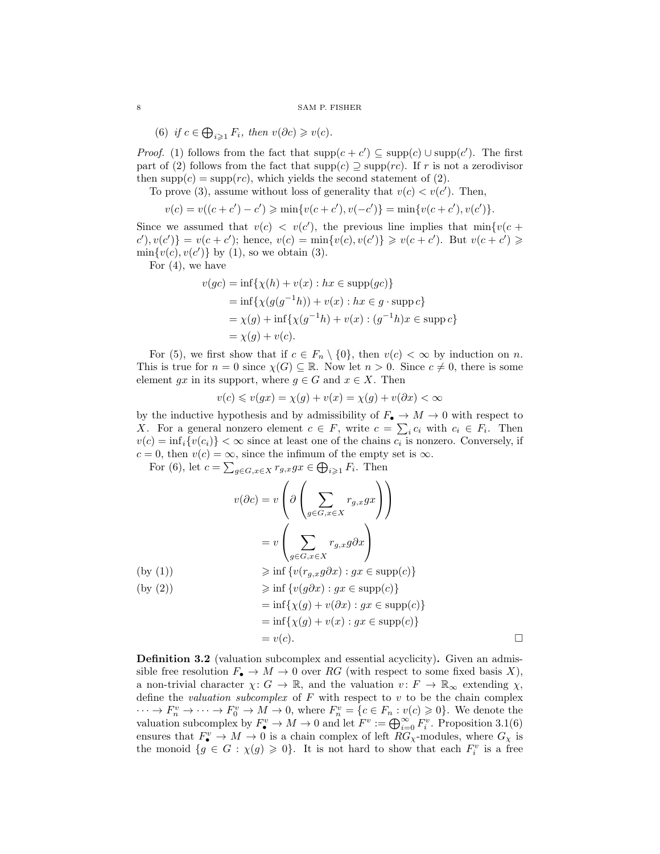(6) if  $c \in \bigoplus_{i \geqslant 1} F_i$ , then  $v(\partial c) \geqslant v(c)$ .

*Proof.* [\(1\)](#page-6-1) follows from the fact that  $supp(c + c') \subseteq supp(c) \cup supp(c')$ . The first part of [\(2\)](#page-6-2) follows from the fact that  $supp(c) \supseteq supp(rc)$ . If r is not a zerodivisor then supp $(c)$  = supp $(rc)$ , which yields the second statement of  $(2)$ .

To prove [\(3\),](#page-6-3) assume without loss of generality that  $v(c) < v(c')$ . Then,

$$
v(c) = v((c + c') - c') \ge \min\{v(c + c'), v(-c')\} = \min\{v(c + c'), v(c')\}.
$$

Since we assumed that  $v(c) < v(c')$ , the previous line implies that  $min{v(c + b')}$  $c'$ ,  $v(c')$ } =  $v(c + c')$ ; hence,  $v(c) = \min\{v(c), v(c')\} \geq v(c + c')$ . But  $v(c + c') \geq$  $min{v(c), v(c')}$  by [\(1\),](#page-6-1) so we obtain [\(3\).](#page-6-3)

For [\(4\),](#page-6-4) we have

$$
v(gc) = \inf \{ \chi(h) + v(x) : hx \in \text{supp}(gc) \}
$$
  
=  $\inf \{ \chi(g(g^{-1}h)) + v(x) : hx \in g \cdot \text{supp} c \}$   
=  $\chi(g) + \inf \{ \chi(g^{-1}h) + v(x) : (g^{-1}h)x \in \text{supp} c \}$   
=  $\chi(g) + v(c).$ 

For [\(5\),](#page-6-5) we first show that if  $c \in F_n \setminus \{0\}$ , then  $v(c) < \infty$  by induction on n. This is true for  $n = 0$  since  $\chi(G) \subseteq \mathbb{R}$ . Now let  $n > 0$ . Since  $c \neq 0$ , there is some element gx in its support, where  $g \in G$  and  $x \in X$ . Then

$$
v(c) \leq v(gx) = \chi(g) + v(x) = \chi(g) + v(\partial x) < \infty
$$

by the inductive hypothesis and by admissibility of  $F_{\bullet} \to M \to 0$  with respect to X. For a general nonzero element  $c \in F$ , write  $c = \sum_i c_i$  with  $c_i \in F_i$ . Then  $v(c) = \inf_i \{v(c_i)\} < \infty$  since at least one of the chains  $c_i$  is nonzero. Conversely, if  $c = 0$ , then  $v(c) = \infty$ , since the infimum of the empty set is  $\infty$ .

For [\(6\),](#page-7-0) let  $c = \sum_{g \in G, x \in X} r_{g,x}gx \in \bigoplus_{i \geqslant 1} F_i$ . Then

$$
v(\partial c) = v \left( \partial \left( \sum_{g \in G, x \in X} r_{g,x} gx \right) \right)
$$
  
=  $v \left( \sum_{g \in G, x \in X} r_{g,x} g \partial x \right)$   
(by (1))  $\geq \inf \{ v(r_{g,x} g \partial x) : gx \in \text{supp}(c) \}$   
(by (2))  $\geq \inf \{ v(g \partial x) : gx \in \text{supp}(c) \}$   
=  $\inf \{ \chi(g) + v(\partial x) : gx \in \text{supp}(c) \}$   
=  $\inf \{ \chi(g) + v(x) : gx \in \text{supp}(c) \}$   
=  $v(c).$ 

Definition 3.2 (valuation subcomplex and essential acyclicity). Given an admissible free resolution  $F_{\bullet} \to M \to 0$  over RG (with respect to some fixed basis X), a non-trivial character  $\chi: G \to \mathbb{R}$ , and the valuation  $v: F \to \mathbb{R}_{\infty}$  extending  $\chi$ , define the *valuation subcomplex* of  $F$  with respect to  $v$  to be the chain complex  $\cdots \to F_n^v \to \cdots \to F_0^v \to M \to 0$ , where  $F_n^v = \{c \in F_n : v(c) \geq 0\}$ . We denote the valuation subcomplex by  $F_v^v \to M \to 0$  and let  $F^v := \bigoplus_{i=0}^{\infty} F_i^v$ . Proposition [3.1](#page-6-6)[\(6\)](#page-7-0) ensures that  $F_{\bullet}^v \to M \to 0$  is a chain complex of left  $RG_{\chi}$ -modules, where  $G_{\chi}$  is the monoid  $\{g \in G : \chi(g) \geq 0\}$ . It is not hard to show that each  $F_i^v$  is a free

<span id="page-7-0"></span>
$$
8 \\
$$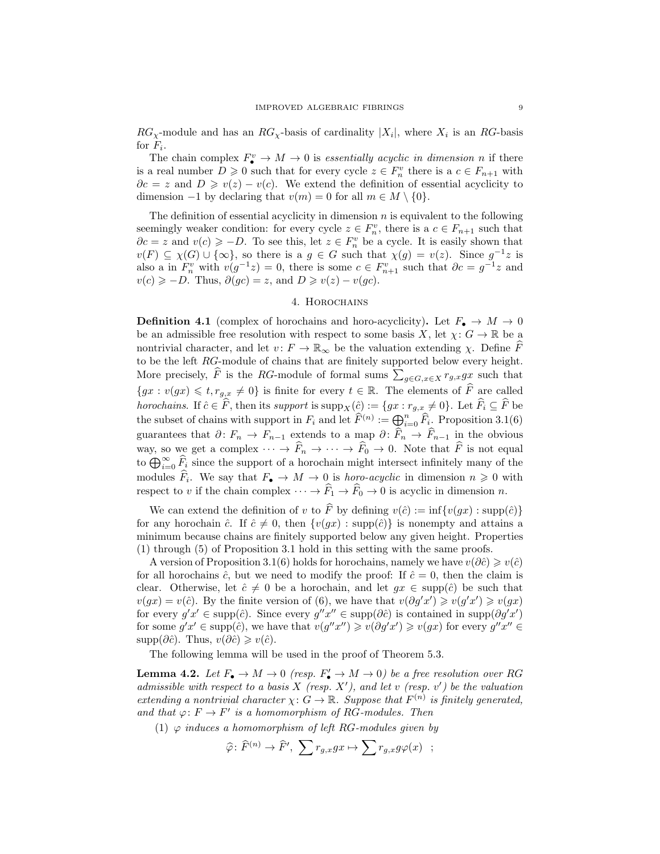$RG_{\chi}$ -module and has an  $RG_{\chi}$ -basis of cardinality  $|X_i|$ , where  $X_i$  is an RG-basis for  $F_i$ .

The chain complex  $F_{\bullet}^v \to M \to 0$  is *essentially acyclic in dimension n* if there is a real number  $D \geq 0$  such that for every cycle  $z \in F_n^v$  there is a  $c \in F_{n+1}$  with  $\partial c = z$  and  $D \ge v(z) - v(c)$ . We extend the definition of essential acyclicity to dimension −1 by declaring that  $v(m) = 0$  for all  $m \in M \setminus \{0\}.$ 

The definition of essential acyclicity in dimension  $n$  is equivalent to the following seemingly weaker condition: for every cycle  $z \in F_n^v$ , there is a  $c \in F_{n+1}$  such that  $\partial c = z$  and  $v(c) \geq -D$ . To see this, let  $z \in F_n^v$  be a cycle. It is easily shown that  $v(F) \subseteq \chi(G) \cup \{\infty\}$ , so there is a  $g \in G$  such that  $\chi(g) = v(z)$ . Since  $g^{-1}z$  is also a in  $F_n^v$  with  $v(g^{-1}z) = 0$ , there is some  $c \in F_{n+1}^v$  such that  $\partial c = g^{-1}z$  and  $v(c) \geq -D$ . Thus,  $\partial (gc) = z$ , and  $D \geq v(z) - v(gc)$ .

## 4. Horochains

<span id="page-8-0"></span>**Definition 4.1** (complex of horochains and horo-acyclicity). Let  $F_{\bullet} \to M \to 0$ be an admissible free resolution with respect to some basis X, let  $\chi: G \to \mathbb{R}$  be a nontrivial character, and let  $v: F \to \mathbb{R}_{\infty}$  be the valuation extending  $\chi$ . Define F to be the left RG-module of chains that are finitely supported below every height. More precisely,  $\widehat{F}$  is the RG-module of formal sums  $\sum_{g \in G, x \in X} r_{g,x}gx$  such that  ${gx : v(gx) \leq t, r_{g,x} \neq 0}$  is finite for every  $t \in \mathbb{R}$ . The elements of  $\widehat{F}$  are called *horochains*. If  $\hat{c} \in \hat{F}$ , then its *support* is  $\text{supp}_X(\hat{c}) := \{gx : r_{g,x} \neq 0\}$ . Let  $\hat{F}_i \subseteq \hat{F}$  be the subset of chains with support in  $F_i$  and let  $\widehat{F}^{(n)} := \bigoplus_{i=0}^n \widehat{F}_{i}$ . Proposition [3.1](#page-6-6)[\(6\)](#page-7-0) guarantees that  $\partial: F_n \to F_{n-1}$  extends to a map  $\partial: \tilde{F}_n \to \tilde{F}_{n-1}$  in the obvious way, so we get a complex  $\cdots \to \widehat{F}_n \to \cdots \to \widehat{F}_0 \to 0$ . Note that  $\widehat{F}$  is not equal to  $\bigoplus_{i=0}^{\infty} \widehat{F}_i$  since the support of a horochain might intersect infinitely many of the modules  $\overline{F}_i$ . We say that  $F_{\bullet} \to M \to 0$  is *horo-acyclic* in dimension  $n \geq 0$  with respect to v if the chain complex  $\cdots \rightarrow \widehat{F}_1 \rightarrow \widehat{F}_0 \rightarrow 0$  is acyclic in dimension n.

We can extend the definition of v to  $\widehat{F}$  by defining  $v(\hat{c}) := \inf \{v(gx) : \text{supp}(\hat{c})\}$ for any horochain  $\hat{c}$ . If  $\hat{c} \neq 0$ , then  $\{v(gx) : \text{supp}(\hat{c})\}$  is nonempty and attains a minimum because chains are finitely supported below any given height. Properties [\(1\)](#page-6-1) through [\(5\)](#page-6-5) of Proposition [3.1](#page-6-6) hold in this setting with the same proofs.

A version of Proposition [3.1](#page-6-6)[\(6\)](#page-7-0) holds for horochains, namely we have  $v(\partial \hat{c}) \geq v(\hat{c})$ for all horochains  $\hat{c}$ , but we need to modify the proof: If  $\hat{c} = 0$ , then the claim is clear. Otherwise, let  $\hat{c} \neq 0$  be a horochain, and let  $gx \in \text{supp}(\hat{c})$  be such that  $v(gx) = v(\hat{c})$ . By the finite version of [\(6\),](#page-7-0) we have that  $v(\partial g'x') \geq v(g'x') \geq v(gx)$ for every  $g'x' \in \text{supp}(\hat{c})$ . Since every  $g''x'' \in \text{supp}(\partial \hat{c})$  is contained in  $\text{supp}(\partial g'x')$ for some  $g'x' \in \text{supp}(\hat{c})$ , we have that  $v(g''x'') \geq v(\partial g'x') \geq v(gx)$  for every  $g''x'' \in$ supp $(\partial \hat{c})$ . Thus,  $v(\partial \hat{c}) \geq v(\hat{c})$ .

<span id="page-8-2"></span>The following lemma will be used in the proof of Theorem [5.3.](#page-10-0)

**Lemma 4.2.** Let  $F_{\bullet} \to M \to 0$  (resp.  $F'_{\bullet} \to M \to 0$ ) be a free resolution over RG *admissible with respect to a basis* X *(resp.* X′ *), and let* v *(resp.* v ′ *) be the valuation extending a nontrivial character*  $\chi: G \to \mathbb{R}$ *. Suppose that*  $F^{(n)}$  *is finitely generated,* and that  $\varphi: F \to F'$  is a homomorphism of RG-modules. Then

<span id="page-8-1"></span>(1)  $\varphi$  *induces a homomorphism of left RG-modules given by* 

$$
\widehat{\varphi}\colon \widehat{F}^{(n)}\to \widehat{F}',\ \sum r_{g,x}gx\mapsto \sum r_{g,x}g\varphi(x)\quad ;\quad
$$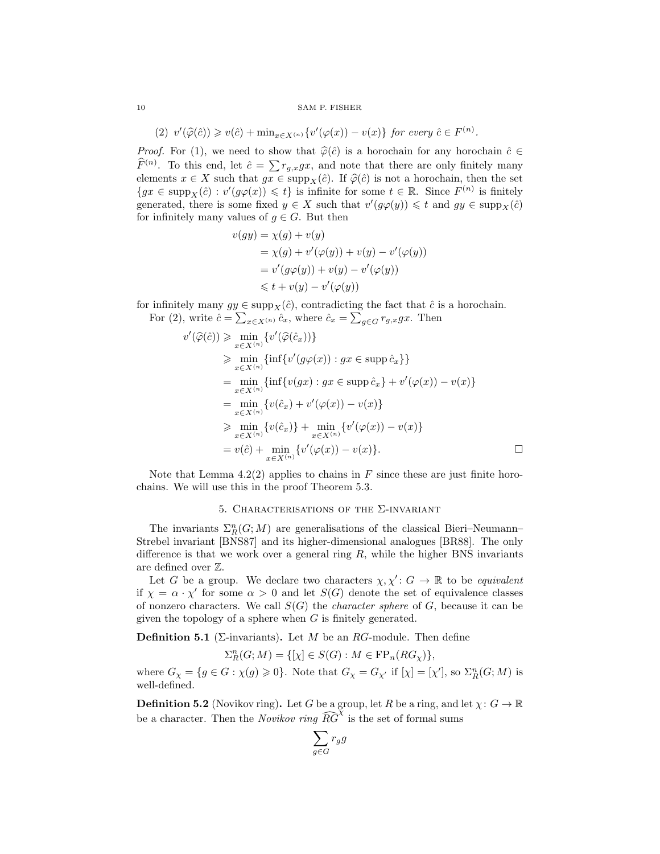(2)  $v'(\widehat{\varphi}(\widehat{c})) \geq v(\widehat{c}) + \min_{x \in X^{(n)}} \{v'(\varphi(x)) - v(x)\}$  for every  $\widehat{c} \in F^{(n)}$ .

*Proof.* For [\(1\),](#page-8-1) we need to show that  $\hat{\varphi}(\hat{c})$  is a horochain for any horochain  $\hat{c} \in$  $\widehat{F}^{(n)}$ . To this end, let  $\hat{c} = \sum r_{g,x}gx$ , and note that there are only finitely many elements  $x \in X$  such that  $g\overline{x} \in \text{supp}_X(\hat{c})$ . If  $\hat{\varphi}(\hat{c})$  is not a horochain, then the set  $\{gx \in \text{supp}_X(\hat{c}) : v'(g\varphi(x)) \leq t\}$  is infinite for some  $t \in \mathbb{R}$ . Since  $F^{(n)}$  is finitely generated, there is some fixed  $y \in X$  such that  $v'(g\varphi(y)) \leq t$  and  $gy \in \text{supp}_X(\hat{c})$ for infinitely many values of  $g \in G$ . But then

$$
v(gy) = \chi(g) + v(y)
$$
  
=  $\chi(g) + v'(\varphi(y)) + v(y) - v'(\varphi(y))$   
=  $v'(g\varphi(y)) + v(y) - v'(\varphi(y))$   
 $\leq t + v(y) - v'(\varphi(y))$ 

for infinitely many  $gy \in \text{supp}_X(\hat{c})$ , contradicting the fact that  $\hat{c}$  is a horochain. For [\(2\),](#page-9-1) write  $\hat{c} = \sum_{x \in X^{(n)}} \hat{c}_x$ , where  $\hat{c}_x = \sum_{g \in G} r_{g,x} gx$ . Then

$$
v'(\hat{\varphi}(\hat{c})) \geqslant \min_{x \in X^{(n)}} \{v'(\hat{\varphi}(\hat{c}_x))\}
$$
  
\n
$$
\geqslant \min_{x \in X^{(n)}} \{\inf \{v'(g\varphi(x)) : gx \in \operatorname{supp} \hat{c}_x\}\}
$$
  
\n
$$
= \min_{x \in X^{(n)}} \{\inf \{v(gx) : gx \in \operatorname{supp} \hat{c}_x\} + v'(\varphi(x)) - v(x)\}
$$
  
\n
$$
= \min_{x \in X^{(n)}} \{v(\hat{c}_x) + v'(\varphi(x)) - v(x)\}
$$
  
\n
$$
\geqslant \min_{x \in X^{(n)}} \{v(\hat{c}_x)\} + \min_{x \in X^{(n)}} \{v'(\varphi(x)) - v(x)\}
$$
  
\n
$$
= v(\hat{c}) + \min_{x \in X^{(n)}} \{v'(\varphi(x)) - v(x)\}.
$$

<span id="page-9-0"></span>Note that Lemma [4.2](#page-8-2)[\(2\)](#page-9-1) applies to chains in  $F$  since these are just finite horochains. We will use this in the proof Theorem [5.3.](#page-10-0)

## 5. Characterisations of the Σ-invariant

The invariants  $\Sigma_R^n(G;M)$  are generalisations of the classical Bieri–Neumann– Strebel invariant [\[BNS87\]](#page-19-17) and its higher-dimensional analogues [\[BR88\]](#page-19-12). The only difference is that we work over a general ring  $R$ , while the higher BNS invariants are defined over Z.

Let G be a group. We declare two characters  $\chi, \chi' : G \to \mathbb{R}$  to be *equivalent* if  $\chi = \alpha \cdot \chi'$  for some  $\alpha > 0$  and let  $S(G)$  denote the set of equivalence classes of nonzero characters. We call S(G) the *character sphere* of G, because it can be given the topology of a sphere when  $G$  is finitely generated.

**Definition 5.1** ( $\Sigma$ -invariants). Let M be an RG-module. Then define

$$
\Sigma_R^n(G;M) = \{ [\chi] \in S(G) : M \in \mathrm{FP}_n(RG_\chi) \},
$$

where  $G_\chi = \{ g \in G : \chi(g) \geq 0 \}.$  Note that  $G_\chi = G_{\chi'}$  if  $[\chi] = [\chi'],$  so  $\Sigma_R^n(G; M)$  is well-defined.

**Definition 5.2** (Novikov ring). Let G be a group, let R be a ring, and let  $\chi: G \to \mathbb{R}$ be a character. Then the *Novikov ring*  $\widehat{RG}^{\chi}$  is the set of formal sums

$$
\sum_{g \in G} r_g g
$$

<span id="page-9-1"></span>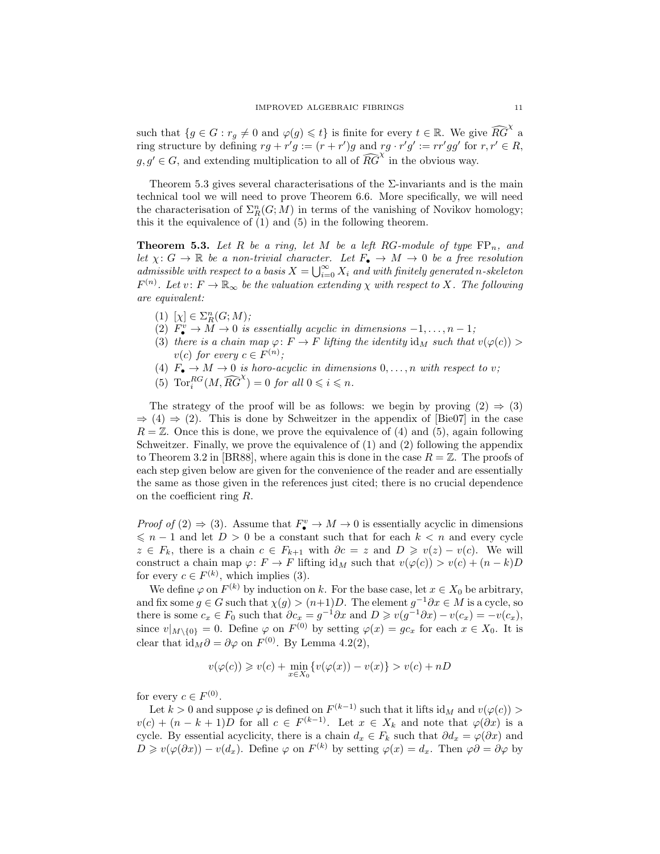such that  $\{g \in G : r_g \neq 0 \text{ and } \varphi(g) \leq t\}$  is finite for every  $t \in \mathbb{R}$ . We give  $\widehat{RG}^{\chi}$  a ring structure by defining  $rg + r'g := (r + r')g$  and  $rg \cdot r'g' := rr'gg'$  for  $r, r' \in R$ ,  $g, g' \in G$ , and extending multiplication to all of  $\widehat{RG}^{\chi}$  in the obvious way.

Theorem [5.3](#page-10-0) gives several characterisations of the  $\Sigma$ -invariants and is the main technical tool we will need to prove Theorem [6.6.](#page-16-0) More specifically, we will need the characterisation of  $\Sigma_R^n(G;M)$  in terms of the vanishing of Novikov homology; this it the equivalence of [\(1\)](#page-10-1) and [\(5\)](#page-10-2) in the following theorem.

<span id="page-10-0"></span>**Theorem 5.3.** Let R be a ring, let M be a left RG-module of type  $\text{FP}_n$ , and *let*  $\chi: G \to \mathbb{R}$  *be a non-trivial character. Let*  $F_{\bullet} \to M \to 0$  *be a free resolution admissible with respect to a basis*  $X = \bigcup_{i=0}^{\infty} X_i$  *and with finitely generated n-skeleton*  $F^{(n)}$ . Let  $v: F \to \mathbb{R}_{\infty}$  be the valuation extending  $\chi$  with respect to X. The following *are equivalent:*

- <span id="page-10-3"></span><span id="page-10-1"></span>(1)  $[\chi] \in \Sigma_R^n(G; M);$
- <span id="page-10-4"></span>(2)  $F^v_\bullet \to M \to 0$  *is essentially acyclic in dimensions*  $-1, \ldots, n-1;$
- (3) *there is a chain map*  $\varphi: F \to F$  *lifting the identity*  $\mathrm{id}_M$  *such that*  $v(\varphi(c)) >$  $v(c)$  for every  $c \in F^{(n)}$ ;
- <span id="page-10-5"></span><span id="page-10-2"></span>(4)  $F_{\bullet} \to M \to 0$  *is horo-acyclic in dimensions*  $0, \ldots, n$  *with respect to v*;
- (5)  $\operatorname{Tor}_i^{RG}(M, \widehat{RG}^X) = 0$  *for all*  $0 \leq i \leq n$ .

The strategy of the proof will be as follows: we begin by proving  $(2) \Rightarrow (3)$  $(2) \Rightarrow (3)$  $\Rightarrow$  [\(4\)](#page-10-5)  $\Rightarrow$  [\(2\).](#page-10-3) This is done by Schweitzer in the appendix of [\[Bie07\]](#page-19-13) in the case  $R = \mathbb{Z}$ . Once this is done, we prove the equivalence of [\(4\)](#page-10-5) and [\(5\),](#page-10-2) again following Schweitzer. Finally, we prove the equivalence of [\(1\)](#page-10-1) and [\(2\)](#page-10-3) following the appendix to Theorem 3.2 in [\[BR88\]](#page-19-12), where again this is done in the case  $R = \mathbb{Z}$ . The proofs of each step given below are given for the convenience of the reader and are essentially the same as those given in the references just cited; there is no crucial dependence on the coefficient ring R.

*Proof of* [\(2\)](#page-10-3)  $\Rightarrow$  [\(3\)](#page-10-4). Assume that  $F^v \to M \to 0$  is essentially acyclic in dimensions  $\leqslant n - 1$  and let  $D > 0$  be a constant such that for each  $k < n$  and every cycle  $z \in F_k$ , there is a chain  $c \in F_{k+1}$  with  $\partial c = z$  and  $D \geq v(z) - v(c)$ . We will construct a chain map  $\varphi: F \to F$  lifting id<sub>M</sub> such that  $v(\varphi(c)) > v(c) + (n - k)D$ for every  $c \in F^{(k)}$ , which implies [\(3\).](#page-10-4)

We define  $\varphi$  on  $F^{(k)}$  by induction on k. For the base case, let  $x \in X_0$  be arbitrary, and fix some  $g \in G$  such that  $\chi(g) > (n+1)D$ . The element  $g^{-1}\partial x \in M$  is a cycle, so there is some  $c_x \in F_0$  such that  $\partial c_x = g^{-1} \partial x$  and  $D \geq v(g^{-1} \partial x) - v(c_x) = -v(c_x)$ , since  $v|_{M\setminus\{0\}}=0$ . Define  $\varphi$  on  $F^{(0)}$  by setting  $\varphi(x)=gc_x$  for each  $x\in X_0$ . It is clear that  $\mathrm{id}_M \partial = \partial \varphi$  on  $F^{(0)}$ . By Lemma [4.2](#page-8-2)[\(2\),](#page-9-1)

$$
v(\varphi(c)) \geq v(c) + \min_{x \in X_0} \{v(\varphi(x)) - v(x)\} > v(c) + nD
$$

for every  $c \in F^{(0)}$ .

Let  $k > 0$  and suppose  $\varphi$  is defined on  $F^{(k-1)}$  such that it lifts  $\mathrm{id}_M$  and  $v(\varphi(c)) >$  $v(c) + (n - k + 1)D$  for all  $c \in F^{(k-1)}$ . Let  $x \in X_k$  and note that  $\varphi(\partial x)$  is a cycle. By essential acyclicity, there is a chain  $d_x \in F_k$  such that  $\partial d_x = \varphi(\partial x)$  and  $D \geq v(\varphi(\partial x)) - v(d_x)$ . Define  $\varphi$  on  $F^{(k)}$  by setting  $\varphi(x) = d_x$ . Then  $\varphi \partial = \partial \varphi$  by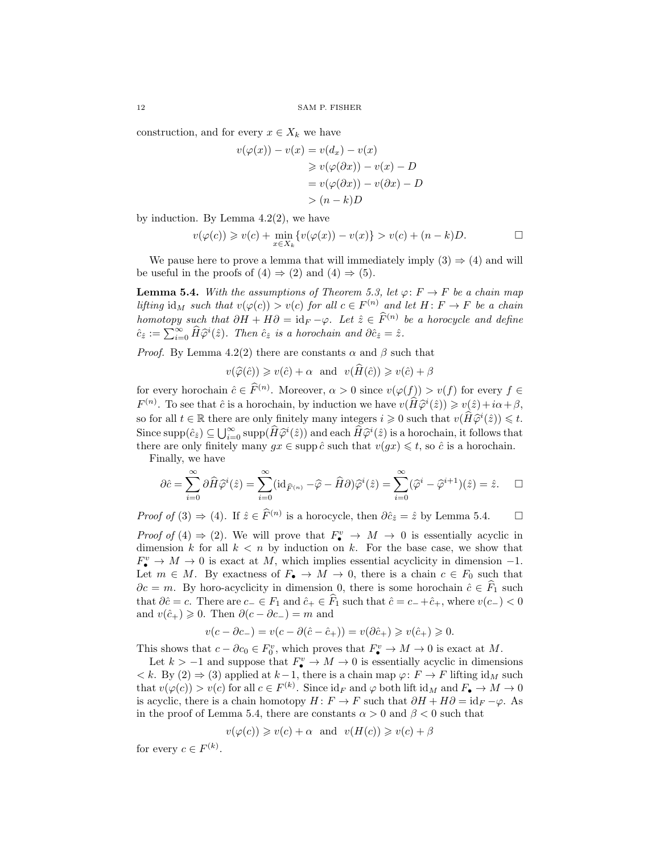construction, and for every  $x \in X_k$  we have

$$
v(\varphi(x)) - v(x) = v(d_x) - v(x)
$$
  
\n
$$
\ge v(\varphi(\partial x)) - v(x) - D
$$
  
\n
$$
= v(\varphi(\partial x)) - v(\partial x) - D
$$
  
\n
$$
> (n - k)D
$$

by induction. By Lemma  $4.2(2)$ , we have

$$
v(\varphi(c)) \geq v(c) + \min_{x \in X_k} \{v(\varphi(x)) - v(x)\} > v(c) + (n - k)D.
$$

<span id="page-11-0"></span>We pause here to prove a lemma that will immediately imply  $(3) \Rightarrow (4)$  $(3) \Rightarrow (4)$  and will be useful in the proofs of  $(4) \Rightarrow (2)$  $(4) \Rightarrow (2)$  and  $(4) \Rightarrow (5)$ .

**Lemma 5.4.** With the assumptions of Theorem [5.3,](#page-10-0) let  $\varphi: F \to F$  be a chain map *lifting*  $id_M$  *such that*  $v(\varphi(c)) > v(c)$  *for all*  $c \in F^{(n)}$  *and let*  $H: F \to F$  *be a chain homotopy such that*  $\partial H + H\partial = id_F - \varphi$ . Let  $\hat{z} \in \hat{F}^{(n)}$  be a horocycle and define  $\hat{c}_{\hat{z}} := \sum_{i=0}^{\infty} \widehat{H} \widehat{\varphi}^{i}(\hat{z})$ . Then  $\hat{c}_{\hat{z}}$  *is a horochain and*  $\partial \hat{c}_{\hat{z}} = \hat{z}$ .

*Proof.* By Lemma [4.2](#page-8-2)[\(2\)](#page-9-1) there are constants  $\alpha$  and  $\beta$  such that

 $v(\widehat{\varphi}(\widehat{c})) \geq v(\widehat{c}) + \alpha$  and  $v(\widehat{H}(\widehat{c})) \geq v(\widehat{c}) + \beta$ 

for every horochain  $\hat{c} \in \hat{F}^{(n)}$ . Moreover,  $\alpha > 0$  since  $v(\varphi(f)) > v(f)$  for every  $f \in$  $F^{(n)}$ . To see that  $\hat{c}$  is a horochain, by induction we have  $v(\hat{H}\hat{\varphi}^{i}(\hat{z})) \geq v(\hat{z}) + i\alpha + \beta$ , so for all  $t \in \mathbb{R}$  there are only finitely many integers  $i \geqslant 0$  such that  $v(\hat{H}\hat{\varphi}^i(\hat{z})) \leqslant t$ . Since  $\text{supp}(\hat{c}_z) \subseteq \bigcup_{i=0}^{\infty} \text{supp}(\hat{H}\hat{\varphi}^i(\hat{z}))$  and each  $\hat{H}\hat{\varphi}^i(\hat{z})$  is a horochain, it follows that there are only finitely many  $gx \in \text{supp }\hat{c}$  such that  $v(gx) \leq t$ , so  $\hat{c}$  is a horochain.

Finally, we have

$$
\partial \hat{c} = \sum_{i=0}^{\infty} \partial \widehat{H} \widehat{\varphi}^{i}(\hat{z}) = \sum_{i=0}^{\infty} (\mathrm{id}_{\widehat{F}^{(n)}} - \widehat{\varphi} - \widehat{H} \partial) \widehat{\varphi}^{i}(\hat{z}) = \sum_{i=0}^{\infty} (\widehat{\varphi}^{i} - \widehat{\varphi}^{i+1})(\hat{z}) = \hat{z}.\quad \Box
$$

*Proof of* [\(3\)](#page-10-4)  $\Rightarrow$  [\(4\)](#page-10-5). If  $\hat{z} \in \hat{F}^{(n)}$  is a horocycle, then  $\partial \hat{c}_{\hat{z}} = \hat{z}$  by Lemma [5.4.](#page-11-0)  $\Box$ 

*Proof of* [\(4\)](#page-10-5)  $\Rightarrow$  [\(2\)](#page-10-3). We will prove that  $F_{\bullet}^v \to M \to 0$  is essentially acyclic in dimension k for all  $k < n$  by induction on k. For the base case, we show that  $F_{\bullet}^v \to M \to 0$  is exact at M, which implies essential acyclicity in dimension -1. Let  $m \in M$ . By exactness of  $F_{\bullet} \to M \to 0$ , there is a chain  $c \in F_0$  such that  $\partial c = m$ . By horo-acyclicity in dimension 0, there is some horochain  $\hat{c} \in \hat{F}_1$  such that  $\partial \hat{c} = c$ . There are  $c_ - \in F_1$  and  $\hat{c}_ + \in \hat{F}_1$  such that  $\hat{c} = c_- + \hat{c}_+$ , where  $v(c_-) < 0$ and  $v(\hat{c}_+) \geqslant 0$ . Then  $\partial(c - \partial c_-) = m$  and

$$
v(c - \partial c_-) = v(c - \partial(\hat{c} - \hat{c}_+)) = v(\partial \hat{c}_+) \geq v(\hat{c}_+) \geq 0.
$$

This shows that  $c - \partial c_0 \in F_0^v$ , which proves that  $F^v_\bullet \to M \to 0$  is exact at M.

Let  $k > -1$  and suppose that  $F^v$  →  $M \to 0$  is essentially acyclic in dimensions  $k$ . By [\(2\)](#page-10-3)  $\Rightarrow$  [\(3\)](#page-10-4) applied at k-1, there is a chain map  $\varphi: F \to F$  lifting id<sub>M</sub> such that  $v(\varphi(c)) > v(c)$  for all  $c \in F^{(k)}$ . Since  $id_F$  and  $\varphi$  both lift  $id_M$  and  $F_{\bullet} \to M \to 0$ is acyclic, there is a chain homotopy  $H: F \to F$  such that  $\partial H + H\partial = id_F - \varphi$ . As in the proof of Lemma [5.4,](#page-11-0) there are constants  $\alpha > 0$  and  $\beta < 0$  such that

$$
v(\varphi(c)) \geq v(c) + \alpha
$$
 and  $v(H(c)) \geq v(c) + \beta$ 

for every  $c \in F^{(k)}$ .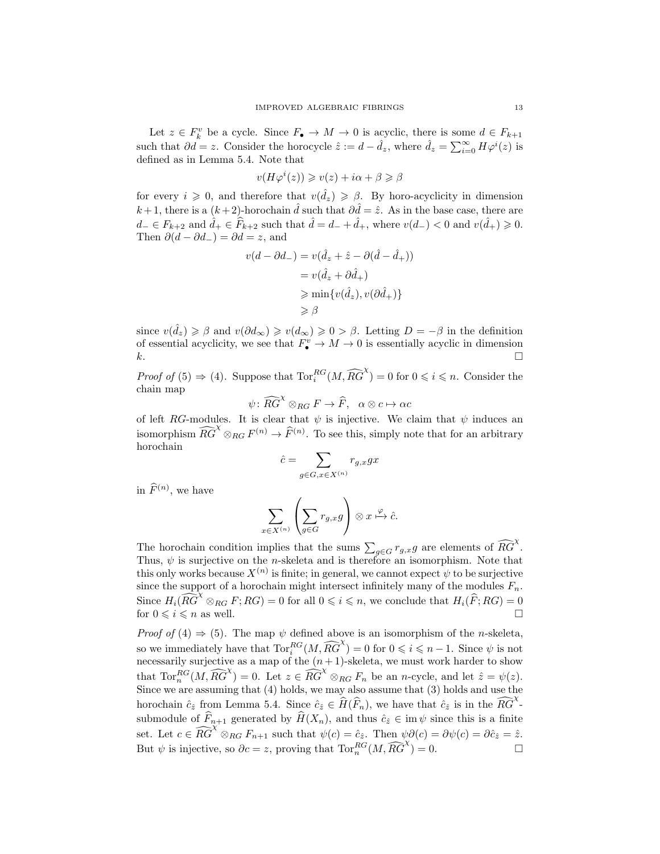Let  $z \in F_k^v$  be a cycle. Since  $F_{\bullet} \to M \to 0$  is acyclic, there is some  $d \in F_{k+1}$ such that  $\partial d = z$ . Consider the horocycle  $\hat{z} := d - \hat{d}_z$ , where  $\hat{d}_z = \sum_{i=0}^{\infty} H \varphi^i(z)$  is defined as in Lemma [5.4.](#page-11-0) Note that

$$
v(H\varphi^{i}(z)) \geq v(z) + i\alpha + \beta \geq \beta
$$

for every  $i \geq 0$ , and therefore that  $v(\hat{d}_z) \geq \beta$ . By horo-acyclicity in dimension k+ 1, there is a  $(k+2)$ -horochain  $\hat{d}$  such that  $\partial \hat{d} = \hat{z}$ . As in the base case, there are  $d_-\in F_{k+2}$  and  $\hat{d}_+\in \widehat{F}_{k+2}$  such that  $\hat{d}=d_-+\hat{d}_+$ , where  $v(d_-)<0$  and  $v(\hat{d}_+)\geqslant 0$ . Then  $\partial(d - \partial d_{-}) = \partial d = z$ , and

$$
v(d - \partial d_{-}) = v(\hat{d}_{z} + \hat{z} - \partial(\hat{d} - \hat{d}_{+}))
$$
  
=  $v(\hat{d}_{z} + \partial \hat{d}_{+})$   
 $\ge \min\{v(\hat{d}_{z}), v(\partial \hat{d}_{+})\}$   
 $\ge \beta$ 

since  $v(\hat{d}_z) \geq \beta$  and  $v(\partial d_{\infty}) \geq v(d_{\infty}) \geq 0 > \beta$ . Letting  $D = -\beta$  in the definition of essential acyclicity, we see that  $F_{\bullet}^v \to M \to 0$  is essentially acyclic in dimension  $k.$ 

*Proof of* [\(5\)](#page-10-2)  $\Rightarrow$  [\(4\)](#page-10-5). Suppose that  $\text{Tor}_i^{RG}(M, \widehat{RG}^X) = 0$  for  $0 \leq i \leq n$ . Consider the chain map

$$
\psi \colon \widehat{RG}^{\chi} \otimes_{RG} F \to \widehat{F}, \quad \alpha \otimes c \mapsto \alpha c
$$

of left RG-modules. It is clear that  $\psi$  is injective. We claim that  $\psi$  induces an isomorphism  $\widehat{RG}^{\chi} \otimes_{RG} F^{(n)} \to \widehat{F}^{(n)}$ . To see this, simply note that for an arbitrary horochain

$$
\hat{c} = \sum_{g \in G, x \in X^{(n)}} r_{g,x}gx
$$

in  $\widehat{F}^{(n)}$ , we have

$$
\sum_{x \in X^{(n)}} \left( \sum_{g \in G} r_{g,x} g \right) \otimes x \xrightarrow{\varphi} \hat{c}.
$$

The horochain condition implies that the sums  $\sum_{g \in G} r_{g,x}g$  are elements of  $\widehat{RG}^{\chi}$ . Thus,  $\psi$  is surjective on the *n*-skeleta and is therefore an isomorphism. Note that this only works because  $X^{(n)}$  is finite; in general, we cannot expect  $\psi$  to be surjective since the support of a horochain might intersect infinitely many of the modules  $F_n$ . Since  $H_i(\widehat{RG}^{\chi} \otimes_{RG} F; RG) = 0$  for all  $0 \leq i \leq n$ , we conclude that  $H_i(\widehat{F}; RG) = 0$ for  $0 \leq i \leq n$  as well.

*Proof of* [\(4\)](#page-10-5)  $\Rightarrow$  [\(5\)](#page-10-2). The map  $\psi$  defined above is an isomorphism of the *n*-skeleta, so we immediately have that  $Tor_i^{RG}(M, \widehat{RG}^X) = 0$  for  $0 \leq i \leq n-1$ . Since  $\psi$  is not necessarily surjective as a map of the  $(n+1)$ -skeleta, we must work harder to show that  $\text{Tor}_n^{RG}(M, \widehat{RG}^X) = 0$ . Let  $z \in \widehat{RG}^X \otimes_{RG} F_n$  be an *n*-cycle, and let  $\hat{z} = \psi(z)$ . Since we are assuming that [\(4\)](#page-10-5) holds, we may also assume that [\(3\)](#page-10-4) holds and use the horochain  $\hat{c}_{\hat{z}}$  from Lemma [5.4.](#page-11-0) Since  $\hat{c}_{\hat{z}} \in \hat{H}(\widehat{F}_n)$ , we have that  $\hat{c}_{\hat{z}}$  is in the  $\widehat{RG}^{\chi}$ submodule of  $\widehat{F}_{n+1}$  generated by  $\widehat{H}(X_n)$ , and thus  $\widehat{c}_z \in \text{im } \psi$  since this is a finite set. Let  $c \in \widehat{RG}^{\chi} \otimes_{RG} F_{n+1}$  such that  $\psi(c) = \hat{c}_z$ . Then  $\psi \partial(c) = \partial \psi(c) = \partial \hat{c}_z = \hat{z}$ . But  $\psi$  is injective, so  $\partial c = z$ , proving that  $\operatorname{Tor}^{\widetilde{RG}}_n(M, \widehat{RG}^{\chi}) = 0$ .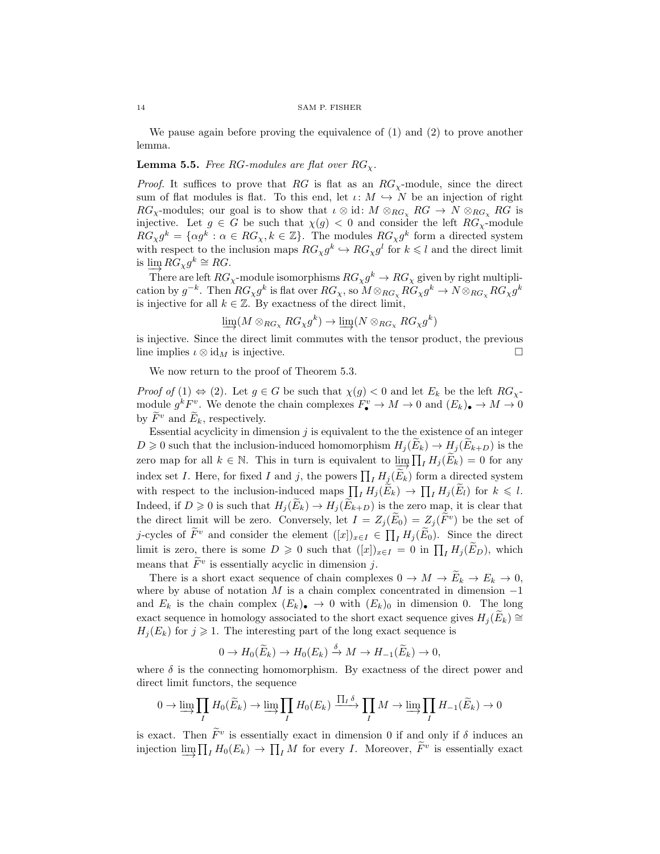<span id="page-13-0"></span>We pause again before proving the equivalence of [\(1\)](#page-10-1) and [\(2\)](#page-10-3) to prove another lemma.

# **Lemma 5.5.** *Free RG-modules are flat over*  $RG_{\chi}$ .

*Proof.* It suffices to prove that RG is flat as an  $RG_{\chi}$ -module, since the direct sum of flat modules is flat. To this end, let  $\iota: M \hookrightarrow N$  be an injection of right  $RG_{\chi}$ -modules; our goal is to show that  $\iota \otimes id$ :  $M \otimes_{RG_{\chi}} RG \to N \otimes_{RG_{\chi}} RG$  is injective. Let  $g \in G$  be such that  $\chi(g) < 0$  and consider the left  $RG_{\chi}$ -module  $RG_{\chi} g^k = \{ \alpha g^k : \alpha \in RG_{\chi}, k \in \mathbb{Z} \}.$  The modules  $RG_{\chi} g^k$  form a directed system with respect to the inclusion maps  $RG_{\chi} g^k \hookrightarrow RG_{\chi} g^l$  for  $k \leq l$  and the direct limit is  $\varinjlim_{n\to\infty} RG_{\chi} g^k \cong RG$ .

There are left  $RG_{\chi}$ -module isomorphisms  $RG_{\chi}g^k \to RG_{\chi}$  given by right multiplication by  $g^{-k}$ . Then  $RG_{\chi}g^{k}$  is flat over  $RG_{\chi}$ , so  $M \otimes_{RG_{\chi}} RG_{\chi}g^{k} \to N \otimes_{RG_{\chi}} RG_{\chi}g^{k}$ is injective for all  $k \in \mathbb{Z}$ . By exactness of the direct limit,

$$
\varinjlim (M \otimes_{RG_{\chi}} RG_{\chi}g^k) \to \varinjlim (N \otimes_{RG_{\chi}} RG_{\chi}g^k)
$$

is injective. Since the direct limit commutes with the tensor product, the previous line implies  $\iota \otimes id_M$  is injective.

We now return to the proof of Theorem [5.3.](#page-10-0)

*Proof of* [\(1\)](#page-10-1)  $\Leftrightarrow$  [\(2\)](#page-10-3). Let  $g \in G$  be such that  $\chi(g) < 0$  and let  $E_k$  be the left  $RG_{\chi}$ module  $g^k F^v$ . We denote the chain complexes  $F^v_\bullet \to M \to 0$  and  $(E_k)_\bullet \to M \to 0$ by  $\widetilde{F}^v$  and  $\widetilde{E}_k$ , respectively.

Essential acyclicity in dimension  $j$  is equivalent to the the existence of an integer  $D \geq 0$  such that the inclusion-induced homomorphism  $H_i(E_k) \to H_i(E_{k+D})$  is the zero map for all  $k \in \mathbb{N}$ . This in turn is equivalent to  $\varinjlim_{n \to \infty} \prod_I H_j(\widetilde{E}_k) = 0$  for any index set I. Here, for fixed I and j, the powers  $\prod_I H_{\underline{j}}(\widetilde{E}_k)$  form a directed system with respect to the inclusion-induced maps  $\prod_I H_j(\widetilde{E}_k) \to \prod_I H_j(\widetilde{E}_l)$  for  $k \leq l$ . Indeed, if  $D \geq 0$  is such that  $H_i(\widetilde{E}_k) \to H_i(\widetilde{E}_{k+D})$  is the zero map, it is clear that the direct limit will be zero. Conversely, let  $I = Z_j(E_0) = Z_j(F^v)$  be the set of j-cycles of  $\widetilde{F}^v$  and consider the element  $([x])_{x\in I} \in \prod_I H_j(\widetilde{E}_0)$ . Since the direct limit is zero, there is some  $D \geq 0$  such that  $([x])_{x \in I} = 0$  in  $\prod_I H_j(\widetilde{E}_D)$ , which means that  $\overline{F}^v$  is essentially acyclic in dimension j.

There is a short exact sequence of chain complexes  $0 \to M \to E_k \to E_k \to 0$ , where by abuse of notation M is a chain complex concentrated in dimension  $-1$ and  $E_k$  is the chain complex  $(E_k)_\bullet \to 0$  with  $(E_k)_0$  in dimension 0. The long exact sequence in homology associated to the short exact sequence gives  $H_i(E_k) \cong$  $H_i(E_k)$  for  $j \geq 1$ . The interesting part of the long exact sequence is

$$
0 \to H_0(\widetilde{E}_k) \to H_0(E_k) \stackrel{\delta}{\to} M \to H_{-1}(\widetilde{E}_k) \to 0,
$$

where  $\delta$  is the connecting homomorphism. By exactness of the direct power and direct limit functors, the sequence

$$
0 \to \varinjlim_I \prod_I H_0(\widetilde{E}_k) \to \varinjlim_I \prod_I H_0(E_k) \xrightarrow{\prod_I \delta} \prod_I M \to \varinjlim_I \prod_I H_{-1}(\widetilde{E}_k) \to 0
$$

is exact. Then  $\overline{F}^v$  is essentially exact in dimension 0 if and only if  $\delta$  induces an injection  $\varinjlim \prod_I H_0(E_k) \to \prod_I M$  for every *I*. Moreover,  $\widetilde{F}^v$  is essentially exact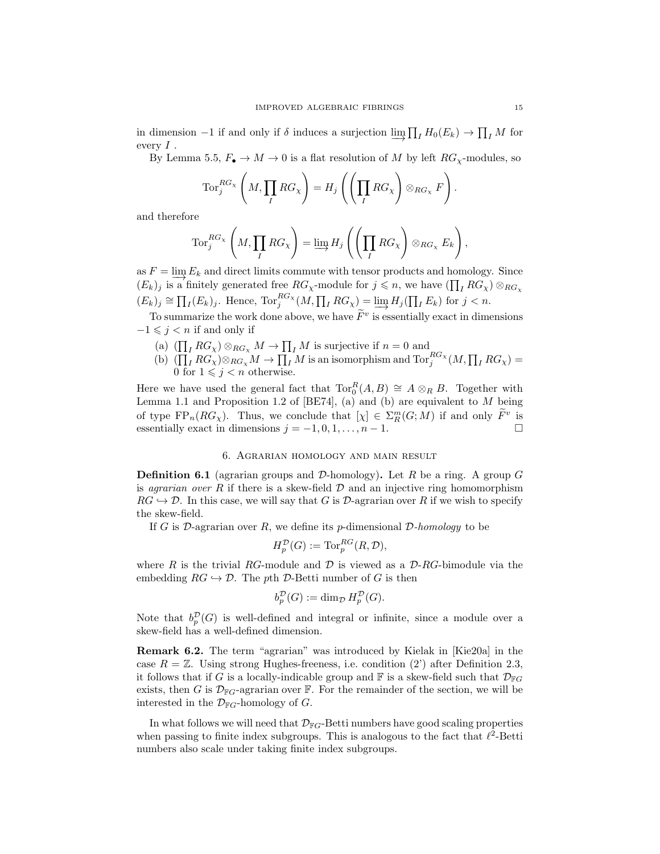in dimension  $-1$  if and only if  $\delta$  induces a surjection  $\varinjlim_{\mathcal{I}} \prod_I H_0(E_k) \to \prod_I M$  for every  $I$ .

By Lemma [5.5,](#page-13-0)  $F_{\bullet} \to M \to 0$  is a flat resolution of M by left  $RG_{\chi}$ -modules, so

$$
\operatorname{Tor}_j^{RG_{\chi}}\left(M,\prod_I RG_{\chi}\right)=H_j\left(\left(\prod_I RG_{\chi}\right)\otimes_{RG_{\chi}}F\right).
$$

and therefore

$$
\operatorname{Tor}_j^{RG_\chi}\left(M,\prod_I RG_\chi\right)=\varinjlim H_j\left(\left(\prod_I RG_\chi\right)\otimes_{RG_\chi} E_k\right),
$$

as  $F = \lim_{k \to \infty} E_k$  and direct limits commute with tensor products and homology. Since  $(E_k)_j$  is a finitely generated free  $RG_{\chi}$ -module for  $j \leqslant n$ , we have  $(\prod_I RG_{\chi}) \otimes_{RG_{\chi}}$  $(E_k)_j \cong \prod_I (E_k)_j$ . Hence,  $\operatorname{Tor}_j^{RG_\chi}(M, \prod_I RG_\chi) = \varinjlim H_j(\prod_I E_k)$  for  $j < n$ .

To summarize the work done above, we have  $\overline{F}^v$  is essentially exact in dimensions  $-1 \leq i \leq n$  if and only if

- (a)  $(\prod_I RG_\chi) \otimes_{RG_\chi} M \to \prod_I M$  is surjective if  $n = 0$  and
- (b)  $(\prod_{I} RG_{\chi}) \otimes_{RG_{\chi}} M \to \prod_{I} M$  is an isomorphism and  $\text{Tor}_{j}^{RG_{\chi}}(M, \prod_{I} RG_{\chi}) =$ 0 for  $1 \leq j \leq n$  otherwise.

Here we have used the general fact that  $Tor_0^R(A, B) \cong A \otimes_R B$ . Together with Lemma 1.1 and Proposition 1.2 of  $[BE74]$ , (a) and (b) are equivalent to M being of type  $FP_n(RG_\chi)$ . Thus, we conclude that  $[\chi] \in \Sigma_R^m(G;M)$  if and only  $\tilde{F}^v$  is essentially exact in dimensions  $j = -1, 0, 1, \ldots, n-1$ .

## 6. Agrarian homology and main result

<span id="page-14-0"></span>**Definition 6.1** (agrarian groups and D-homology). Let R be a ring. A group G is *agrarian over* R if there is a skew-field  $\mathcal D$  and an injective ring homomorphism  $RG \hookrightarrow \mathcal{D}$ . In this case, we will say that G is  $\mathcal{D}$ -agrarian over R if we wish to specify the skew-field.

If G is  $D$ -agrarian over R, we define its p-dimensional  $D$ -homology to be

$$
H_p^{\mathcal{D}}(G) := \operatorname{Tor}_p^{RG}(R, \mathcal{D}),
$$

where R is the trivial RG-module and D is viewed as a  $\mathcal{D}$ -RG-bimodule via the embedding  $RG \hookrightarrow \mathcal{D}$ . The pth  $\mathcal{D}$ -Betti number of G is then

$$
b_p^{\mathcal{D}}(G) := \dim_{\mathcal{D}} H_p^{\mathcal{D}}(G).
$$

Note that  $b_p^{\mathcal{D}}(G)$  is well-defined and integral or infinite, since a module over a skew-field has a well-defined dimension.

Remark 6.2. The term "agrarian" was introduced by Kielak in [\[Kie20a\]](#page-19-19) in the case  $R = \mathbb{Z}$ . Using strong Hughes-freeness, i.e. condition [\(2'\)](#page-4-3) after Definition [2.3,](#page-3-0) it follows that if G is a locally-indicable group and F is a skew-field such that  $\mathcal{D}_{\mathbb{F}G}$ exists, then G is  $\mathcal{D}_{\mathbb{F}G}$ -agrarian over  $\mathbb{F}$ . For the remainder of the section, we will be interested in the  $\mathcal{D}_{\mathbb{F}G}$ -homology of G.

<span id="page-14-1"></span>In what follows we will need that  $\mathcal{D}_{\mathbb{F}G}$ -Betti numbers have good scaling properties when passing to finite index subgroups. This is analogous to the fact that  $\ell^2$ -Betti numbers also scale under taking finite index subgroups.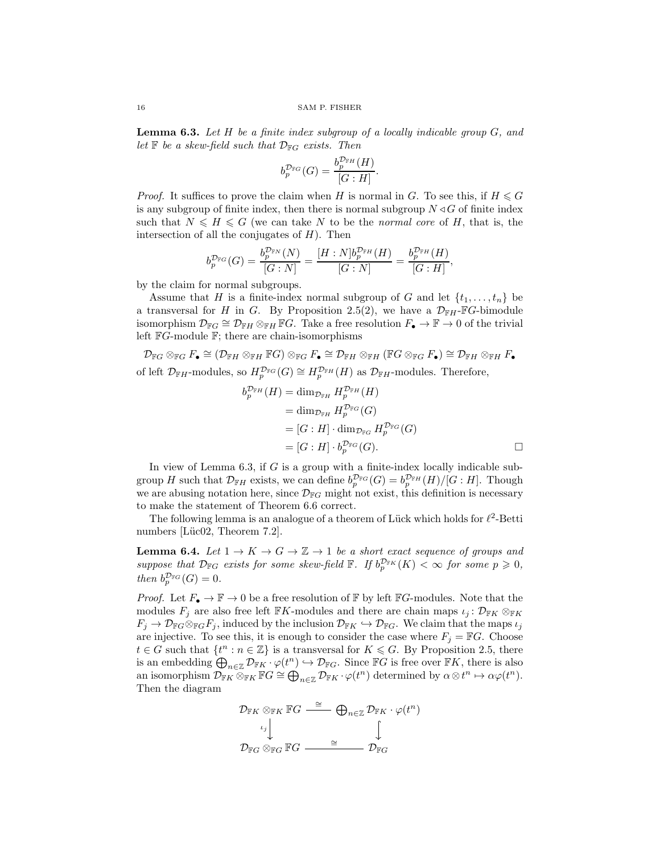Lemma 6.3. *Let* H *be a finite index subgroup of a locally indicable group* G*, and let*  $\mathbb{F}$  *be a skew-field such that*  $\mathcal{D}_{\mathbb{F}G}$  *exists. Then* 

$$
b_p^{\mathcal{D}_{\mathbb{F}G}}(G) = \frac{b_p^{\mathcal{D}_{\mathbb{F}H}}(H)}{[G:H]}.
$$

*Proof.* It suffices to prove the claim when H is normal in G. To see this, if  $H \leq G$ is any subgroup of finite index, then there is normal subgroup  $N \triangleleft G$  of finite index such that  $N \leq H \leq G$  (we can take N to be the *normal core* of H, that is, the intersection of all the conjugates of  $H$ ). Then

$$
b_p^{\mathcal{D}_{\mathbb{F}G}}(G) = \frac{b_p^{\mathcal{D}_{\mathbb{F}N}}(N)}{[G:N]} = \frac{[H:N]b_p^{\mathcal{D}_{\mathbb{F}H}}(H)}{[G:N]} = \frac{b_p^{\mathcal{D}_{\mathbb{F}H}}(H)}{[G:H]}
$$

by the claim for normal subgroups.

Assume that H is a finite-index normal subgroup of G and let  $\{t_1, \ldots, t_n\}$  be a transversal for H in G. By Proposition [2.5](#page-4-4)[\(2\),](#page-4-2) we have a  $\mathcal{D}_{\mathbb{F}H}$ -FG-bimodule isomorphism  $\mathcal{D}_{\mathbb{F}G} \cong \mathcal{D}_{\mathbb{F}H} \otimes_{\mathbb{F}H} \mathbb{F}G$ . Take a free resolution  $F_{\bullet} \to \mathbb{F} \to 0$  of the trivial left  $\mathbb{F}G$ -module  $\mathbb{F}$ ; there are chain-isomorphisms

$$
\mathcal{D}_{\mathbb{F}G} \otimes_{\mathbb{F}G} F_{\bullet} \cong (\mathcal{D}_{\mathbb{F}H} \otimes_{\mathbb{F}H} \mathbb{F}G) \otimes_{\mathbb{F}G} F_{\bullet} \cong \mathcal{D}_{\mathbb{F}H} \otimes_{\mathbb{F}H} (\mathbb{F}G \otimes_{\mathbb{F}G} F_{\bullet}) \cong \mathcal{D}_{\mathbb{F}H} \otimes_{\mathbb{F}H} F_{\bullet}
$$
  
of left  $\mathcal{D}_{\mathbb{F}H}$ -modules, so  $H_p^{\mathcal{D}_{\mathbb{F}G}}(G) \cong H_p^{\mathcal{D}_{\mathbb{F}H}}(H)$  as  $\mathcal{D}_{\mathbb{F}H}$ -modules. Therefore,

$$
b_p^{\mathcal{D}_{\mathbb{F}^H}}(H) = \dim_{\mathcal{D}_{\mathbb{F}^H}} H_p^{\mathcal{D}_{\mathbb{F}^H}}(H)
$$
  
= 
$$
\dim_{\mathcal{D}_{\mathbb{F}^H}} H_p^{\mathcal{D}_{\mathbb{F}^G}}(G)
$$
  
= 
$$
[G : H] \cdot \dim_{\mathcal{D}_{\mathbb{F}^G}} H_p^{\mathcal{D}_{\mathbb{F}^G}}(G)
$$
  
= 
$$
[G : H] \cdot b_p^{\mathcal{D}_{\mathbb{F}^G}}(G).
$$

,

In view of Lemma  $6.3$ , if  $G$  is a group with a finite-index locally indicable subgroup H such that  $\mathcal{D}_{\mathbb{F}H}$  exists, we can define  $b_p^{\mathcal{D}_{\mathbb{F}G}}(G) = b_p^{\mathcal{D}_{\mathbb{F}H}}(H)/[G:H]$ . Though we are abusing notation here, since  $\mathcal{D}_{\mathbb{F}G}$  might not exist, this definition is necessary to make the statement of Theorem [6.6](#page-16-0) correct.

<span id="page-15-0"></span>The following lemma is an analogue of a theorem of Lück which holds for  $\ell^2$ -Betti numbers  $[Lüc02, Theorem 7.2].$ 

**Lemma 6.4.** *Let*  $1 \rightarrow K \rightarrow G \rightarrow \mathbb{Z} \rightarrow 1$  *be a short exact sequence of groups and* suppose that  $\mathcal{D}_{\mathbb{F}G}$  exists for some skew-field  $\mathbb{F}$ . If  $b_p^{\mathcal{D}_{\mathbb{F}K}}(K) < \infty$  for some  $p \geq 0$ , *then*  $b_p^{\mathcal{D}_{FG}}(G) = 0$ .

*Proof.* Let  $F_{\bullet} \to \mathbb{F} \to 0$  be a free resolution of  $\mathbb{F}$  by left  $\mathbb{F}G$ -modules. Note that the modules  $F_j$  are also free left FK-modules and there are chain maps  $\iota_j : \mathcal{D}_{\mathbb{F}K} \otimes_{\mathbb{F}K}$  $F_j \to \mathcal{D}_{\mathbb{F}G} \otimes_{\mathbb{F}G} F_j$ , induced by the inclusion  $\mathcal{D}_{\mathbb{F}K} \hookrightarrow \mathcal{D}_{\mathbb{F}G}$ . We claim that the maps  $\iota_j$ are injective. To see this, it is enough to consider the case where  $F_j = \mathbb{F}G$ . Choose  $t \in G$  such that  $\{t^n : n \in \mathbb{Z}\}$  is a transversal for  $K \leq G$ . By Proposition [2.5,](#page-4-4) there is an embedding  $\bigoplus_{n\in\mathbb{Z}}\mathcal{D}_{\mathbb{F} K}\cdot\varphi(t^n)\hookrightarrow \mathcal{D}_{\mathbb{F} G}$ . Since  $\mathbb{F} G$  is free over  $\mathbb{F} K$ , there is also an isomorphism  $\mathcal{D}_{\mathbb{F}_{K}} \otimes_{\mathbb{F}_{K}} \mathbb{F}_{G} \cong \bigoplus_{n \in \mathbb{Z}} \mathcal{D}_{\mathbb{F}_{K}} \cdot \varphi(t^{n})$  determined by  $\alpha \otimes t^{n} \mapsto \alpha \varphi(t^{n})$ . Then the diagram

$$
\mathcal{D}_{\mathbb{F} K} \otimes_{\mathbb{F} K} \mathbb{F} G \xrightarrow{\cong} \bigoplus_{n \in \mathbb{Z}} \mathcal{D}_{\mathbb{F} K} \cdot \varphi(t^n)
$$
\n
$$
\downarrow \qquad \qquad \downarrow
$$
\n
$$
\mathcal{D}_{\mathbb{F} G} \otimes_{\mathbb{F} G} \mathbb{F} G \xrightarrow{\cong} \mathcal{D}_{\mathbb{F} G}
$$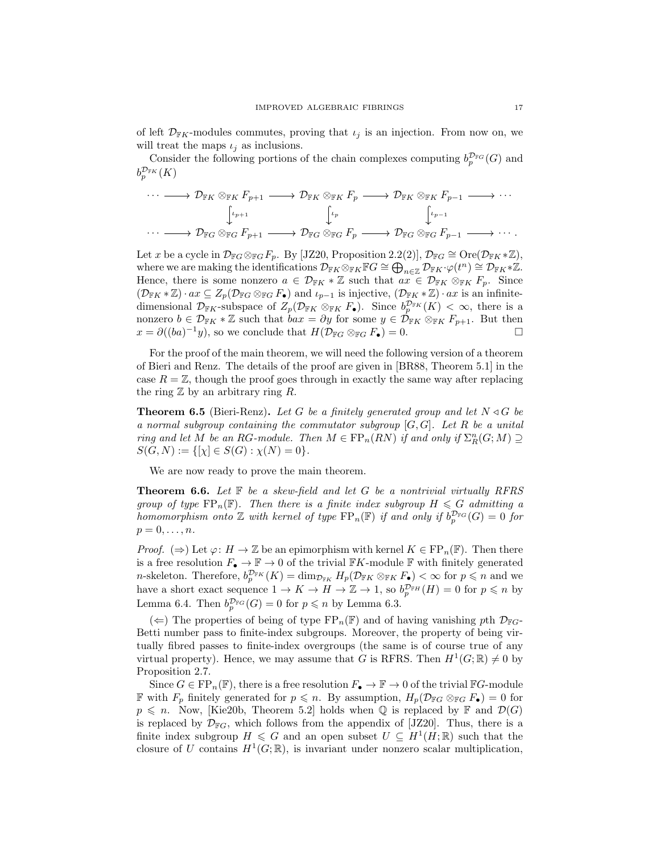of left  $\mathcal{D}_{\mathbb{F}_K}$ -modules commutes, proving that  $\iota_i$  is an injection. From now on, we will treat the maps  $\iota_j$  as inclusions.

Consider the following portions of the chain complexes computing  $b_p^{\mathcal{D}_{FG}}(G)$  and  $b_p^{\mathcal{D}_{\mathbb{F}^K}}(K)$ 

$$
\cdots \longrightarrow \mathcal{D}_{\mathbb{F}K} \otimes_{\mathbb{F}K} F_{p+1} \longrightarrow \mathcal{D}_{\mathbb{F}K} \otimes_{\mathbb{F}K} F_p \longrightarrow \mathcal{D}_{\mathbb{F}K} \otimes_{\mathbb{F}K} F_{p-1} \longrightarrow \cdots
$$

$$
\downarrow_{\iota_{p+1}} \qquad \qquad \downarrow_{\iota_p} \qquad \qquad \downarrow_{\iota_{p-1}} \qquad \qquad \cdots \longrightarrow \mathcal{D}_{\mathbb{F}G} \otimes_{\mathbb{F}G} F_{p+1} \longrightarrow \mathcal{D}_{\mathbb{F}G} \otimes_{\mathbb{F}G} F_p \longrightarrow \mathcal{D}_{\mathbb{F}G} \otimes_{\mathbb{F}G} F_{p-1} \longrightarrow \cdots.
$$

Let x be a cycle in  $\mathcal{D}_{\mathbb{F}G} \otimes_{\mathbb{F}G} F_p$ . By [\[JZ20,](#page-19-5) Proposition 2.2(2)],  $\mathcal{D}_{\mathbb{F}G} \cong \text{Ore}(\mathcal{D}_{\mathbb{F}K} * \mathbb{Z})$ , where we are making the identifications  $\mathcal{D}_{\mathbb{F} K} \otimes_{\mathbb{F} K} \mathbb{F} G \cong \bigoplus_{n \in \mathbb{Z}} \mathcal{D}_{\mathbb{F} K} \cdot \varphi(t^n) \cong \mathcal{D}_{\mathbb{F} K} * \mathbb{Z}$ . Hence, there is some nonzero  $a \in \mathcal{D}_{\mathbb{F}_K} * \mathbb{Z}$  such that  $ax \in \mathcal{D}_{\mathbb{F}_K} \otimes_{\mathbb{F}_K} F_p$ . Since  $(\mathcal{D}_{\mathbb{F}_K} * \mathbb{Z}) \cdot ax \subseteq Z_p(\mathcal{D}_{\mathbb{F}_G} \otimes_{\mathbb{F}_G} F_{\bullet})$  and  $\iota_{p-1}$  is injective,  $(\mathcal{D}_{\mathbb{F}_K} * \mathbb{Z}) \cdot ax$  is an infinitedimensional  $\mathcal{D}_{\mathbb{F}_K}$ -subspace of  $Z_p(\mathcal{D}_{\mathbb{F}_K} \otimes_{\mathbb{F}_K} F_{\bullet})$ . Since  $b_p^{\mathcal{D}_{\mathbb{F}_K}}(K) < \infty$ , there is a nonzero  $b \in \mathcal{D}_{\mathbb{F}_K} * \mathbb{Z}$  such that  $bax = \partial y$  for some  $y \in \mathcal{D}_{\mathbb{F}_K} \otimes_{\mathbb{F}_K} F_{p+1}$ . But then  $x = \partial((ba)^{-1}y)$ , so we conclude that  $H(\mathcal{D}_{\mathbb{F}G} \otimes_{\mathbb{F}G} F_{\bullet}) = 0$ .

For the proof of the main theorem, we will need the following version of a theorem of Bieri and Renz. The details of the proof are given in [\[BR88,](#page-19-12) Theorem 5.1] in the case  $R = \mathbb{Z}$ , though the proof goes through in exactly the same way after replacing the ring  $\mathbb Z$  by an arbitrary ring  $R$ .

<span id="page-16-1"></span>**Theorem 6.5** (Bieri-Renz). Let G be a finitely generated group and let  $N \triangleleft G$  be *a normal subgroup containing the commutator subgroup* [G, G]*. Let* R *be a unital ring and let* M *be an RG-module. Then*  $M \in \{FP_n(RN) \text{ if and only if } \sum_{R}^{n}(G; M) \supseteq$  $S(G, N) := \{[\chi] \in S(G) : \chi(N) = 0\}.$ 

<span id="page-16-0"></span>We are now ready to prove the main theorem.

Theorem 6.6. *Let* F *be a skew-field and let* G *be a nontrivial virtually RFRS group of type*  $\text{FP}_n(\mathbb{F})$ *. Then there is a finite index subgroup*  $H \leq G$  *admitting a homomorphism onto*  $\mathbb Z$  *with kernel of type*  $\text{FP}_n(\mathbb F)$  *if and only if*  $b_p^{\mathcal{D}_{\mathbb F G}}(G) = 0$  *for*  $p=0,\ldots,n$ .

*Proof.* ( $\Rightarrow$ ) Let  $\varphi: H \to \mathbb{Z}$  be an epimorphism with kernel  $K \in \{FP_n(\mathbb{F})\}$ . Then there is a free resolution  $F_{\bullet} \to \mathbb{F} \to 0$  of the trivial  $\mathbb{F}K$ -module  $\mathbb{F}$  with finitely generated *n*-skeleton. Therefore,  $b_p^{\mathcal{D}_{FK}}(K) = \dim_{\mathcal{D}_{FK}} H_p(\mathcal{D}_{FK} \otimes_{\mathbb{F}_K} F_{\bullet}) < \infty$  for  $p \leq n$  and we have a short exact sequence  $1 \to K \to H \to \mathbb{Z} \to 1$ , so  $b_p^{\mathcal{D}_{FH}}(H) = 0$  for  $p \leq n$  by Lemma [6.4.](#page-15-0) Then  $b_p^{\mathcal{D}_{FG}}(G) = 0$  for  $p \leq n$  by Lemma [6.3.](#page-14-1)

 $(\Leftarrow)$  The properties of being of type  $FP_n(\mathbb{F})$  and of having vanishing pth  $\mathcal{D}_{\mathbb{F}G}$ -Betti number pass to finite-index subgroups. Moreover, the property of being virtually fibred passes to finite-index overgroups (the same is of course true of any virtual property). Hence, we may assume that G is RFRS. Then  $H^1(G;\mathbb{R}) \neq 0$  by Proposition [2.7.](#page-5-1)

Since  $G \in \text{FP}_n(\mathbb{F})$ , there is a free resolution  $F_{\bullet} \to \mathbb{F} \to 0$  of the trivial  $\mathbb{F}G$ -module **F** with  $F_p$  finitely generated for  $p \leq n$ . By assumption,  $H_p(\mathcal{D}_{\mathbb{F}G} \otimes_{\mathbb{F}G} F_{\bullet}) = 0$  for  $p \leq n$ . Now, [\[Kie20b,](#page-19-0) Theorem 5.2] holds when Q is replaced by F and  $\mathcal{D}(G)$ is replaced by  $\mathcal{D}_{\mathbb{F}G}$ , which follows from the appendix of [\[JZ20\]](#page-19-5). Thus, there is a finite index subgroup  $H \leq G$  and an open subset  $U \subseteq H^1(H;\mathbb{R})$  such that the closure of U contains  $H^1(G; \mathbb{R})$ , is invariant under nonzero scalar multiplication,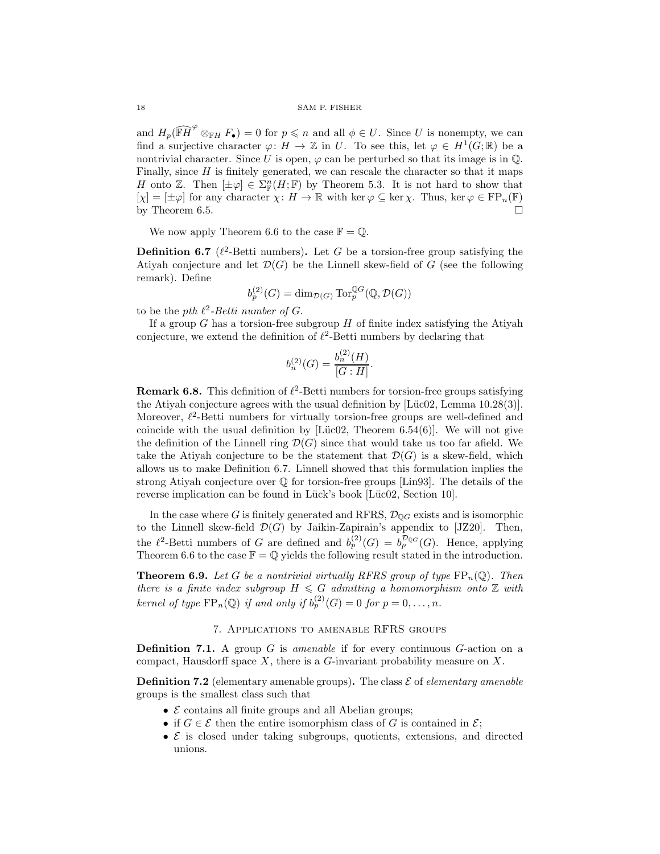and  $H_p(\widehat{\mathbb{F}H}^{\varphi} \otimes_{\mathbb{F}H} F_{\bullet}) = 0$  for  $p \leq n$  and all  $\phi \in U$ . Since U is nonempty, we can find a surjective character  $\varphi: H \to \mathbb{Z}$  in U. To see this, let  $\varphi \in H^1(G; \mathbb{R})$  be a nontrivial character. Since U is open,  $\varphi$  can be perturbed so that its image is in  $\mathbb{Q}$ . Finally, since  $H$  is finitely generated, we can rescale the character so that it maps H onto Z. Then  $[\pm \varphi] \in \Sigma_{\mathbb{F}}^n(H; \mathbb{F})$  by Theorem [5.3.](#page-10-0) It is not hard to show that  $[\chi] = [\pm \varphi]$  for any character  $\chi: H \to \mathbb{R}$  with ker  $\varphi \subseteq \ker \chi$ . Thus, ker  $\varphi \in \text{FP}_n(\mathbb{F})$ by Theorem [6.5.](#page-16-1)

<span id="page-17-2"></span>We now apply Theorem [6.6](#page-16-0) to the case  $\mathbb{F} = \mathbb{Q}$ .

**Definition 6.7** ( $\ell^2$ -Betti numbers). Let G be a torsion-free group satisfying the Atiyah conjecture and let  $\mathcal{D}(G)$  be the Linnell skew-field of G (see the following remark). Define

$$
b_p^{(2)}(G) = \dim_{\mathcal{D}(G)} \operatorname{Tor}_p^{\mathbb{Q}G}(\mathbb{Q}, \mathcal{D}(G))
$$

to be the p*th* ℓ 2 *-Betti number of* G.

If a group G has a torsion-free subgroup  $H$  of finite index satisfying the Atiyah conjecture, we extend the definition of  $\ell^2$ -Betti numbers by declaring that

$$
b_n^{(2)}(G) = \frac{b_n^{(2)}(H)}{[G:H]}.
$$

**Remark 6.8.** This definition of  $\ell^2$ -Betti numbers for torsion-free groups satisfying the Atiyah conjecture agrees with the usual definition by [Lüc02, Lemma  $10.28(3)$ ]. Moreover,  $\ell^2$ -Betti numbers for virtually torsion-free groups are well-defined and coincide with the usual definition by [Lüc02, Theorem  $6.54(6)$ ]. We will not give the definition of the Linnell ring  $\mathcal{D}(G)$  since that would take us too far afield. We take the Atiyah conjecture to be the statement that  $\mathcal{D}(G)$  is a skew-field, which allows us to make Definition [6.7.](#page-17-2) Linnell showed that this formulation implies the strong Atiyah conjecture over  $\mathbb Q$  for torsion-free groups [\[Lin93\]](#page-19-20). The details of the reverse implication can be found in Lück's book [Lüc02, Section 10].

In the case where G is finitely generated and RFRS,  $\mathcal{D}_{\mathbb{Q}G}$  exists and is isomorphic to the Linnell skew-field  $\mathcal{D}(G)$  by Jaikin-Zapirain's appendix to [\[JZ20\]](#page-19-5). Then, the  $\ell^2$ -Betti numbers of G are defined and  $b_p^{(2)}(G) = b_p^{\mathcal{D}_{\mathbb{Q}G}}(G)$ . Hence, applying Theorem [6.6](#page-16-0) to the case  $\mathbb{F} = \mathbb{Q}$  yields the following result stated in the introduction.

<span id="page-17-0"></span>**Theorem 6.9.** Let G be a nontrivial virtually RFRS group of type  $\text{FP}_n(\mathbb{Q})$ . Then *there is a finite index subgroup*  $H \leq G$  *admitting a homomorphism onto*  $\mathbb{Z}$  *with* kernel of type  $\text{FP}_n(\mathbb{Q})$  if and only if  $b_p^{(2)}(G) = 0$  for  $p = 0, \ldots, n$ .

# 7. Applications to amenable RFRS groups

<span id="page-17-1"></span>Definition 7.1. A group G is *amenable* if for every continuous G-action on a compact, Hausdorff space  $X$ , there is a  $G$ -invariant probability measure on  $X$ .

Definition 7.2 (elementary amenable groups). The class  $\mathcal E$  of *elementary amenable* groups is the smallest class such that

- $\bullet$   $\&$  contains all finite groups and all Abelian groups;
- if  $G \in \mathcal{E}$  then the entire isomorphism class of G is contained in  $\mathcal{E}$ ;
- $\mathcal E$  is closed under taking subgroups, quotients, extensions, and directed unions.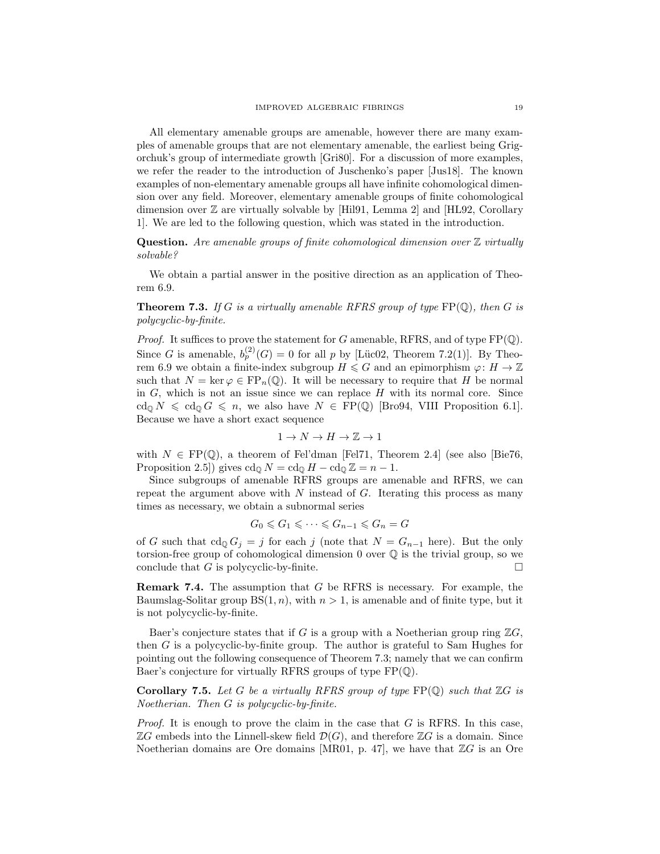All elementary amenable groups are amenable, however there are many examples of amenable groups that are not elementary amenable, the earliest being Grigorchuk's group of intermediate growth [\[Gri80\]](#page-19-21). For a discussion of more examples, we refer the reader to the introduction of Juschenko's paper [\[Jus18\]](#page-19-22). The known examples of non-elementary amenable groups all have infinite cohomological dimension over any field. Moreover, elementary amenable groups of finite cohomological dimension over  $\mathbb Z$  are virtually solvable by [\[Hil91,](#page-19-6) Lemma 2] and [\[HL92,](#page-19-7) Corollary 1]. We are led to the following question, which was stated in the introduction.

**Question.** Are amenable groups of finite cohomological dimension over  $\mathbb Z$  virtually *solvable?*

<span id="page-18-0"></span>We obtain a partial answer in the positive direction as an application of Theorem [6.9.](#page-17-0)

**Theorem 7.3.** If G is a virtually amenable RFRS group of type  $\text{FP}(\mathbb{Q})$ , then G is *polycyclic-by-finite.*

*Proof.* It suffices to prove the statement for G amenable, RFRS, and of type  $\text{FP}(\mathbb{Q})$ . Since G is amenable,  $b_p^{(2)}(G) = 0$  for all p by [Lüc02, Theorem 7.2(1)]. By Theo-rem [6.9](#page-17-0) we obtain a finite-index subgroup  $H \leq G$  and an epimorphism  $\varphi: H \to \mathbb{Z}$ such that  $N = \ker \varphi \in \{FP_n(\mathbb{Q})\}$ . It will be necessary to require that H be normal in  $G$ , which is not an issue since we can replace  $H$  with its normal core. Since  $\operatorname{cd}_0 N \leqslant \operatorname{cd}_0 G \leqslant n$ , we also have  $N \in \operatorname{FP}(\mathbb{Q})$  [\[Bro94,](#page-19-14) VIII Proposition 6.1]. Because we have a short exact sequence

$$
1\to N\to H\to\mathbb{Z}\to 1
$$

with  $N \in \text{FP}(\mathbb{Q})$ , a theorem of Fel'dman [\[Fel71,](#page-19-23) Theorem 2.4] (see also [\[Bie76,](#page-19-24) Proposition 2.5]) gives  $\text{cd}_{\mathbb{Q}} N = \text{cd}_{\mathbb{Q}} H - \text{cd}_{\mathbb{Q}} \mathbb{Z} = n - 1$ .

Since subgroups of amenable RFRS groups are amenable and RFRS, we can repeat the argument above with  $N$  instead of  $G$ . Iterating this process as many times as necessary, we obtain a subnormal series

$$
G_0 \leqslant G_1 \leqslant \cdots \leqslant G_{n-1} \leqslant G_n = G
$$

of G such that  $\text{cd}_\mathbb{Q} G_j = j$  for each j (note that  $N = G_{n-1}$  here). But the only torsion-free group of cohomological dimension 0 over Q is the trivial group, so we conclude that G is polycyclic-by-finite.  $\Box$ 

**Remark 7.4.** The assumption that  $G$  be RFRS is necessary. For example, the Baumslag-Solitar group  $BS(1, n)$ , with  $n > 1$ , is amenable and of finite type, but it is not polycyclic-by-finite.

Baer's conjecture states that if G is a group with a Noetherian group ring  $\mathbb{Z}G$ , then G is a polycyclic-by-finite group. The author is grateful to Sam Hughes for pointing out the following consequence of Theorem [7.3;](#page-18-0) namely that we can confirm Baer's conjecture for virtually RFRS groups of type FP(Q).

<span id="page-18-1"></span>Corollary 7.5. *Let* G *be a virtually RFRS group of type* FP(Q) *such that* ZG *is Noetherian. Then* G *is polycyclic-by-finite.*

*Proof.* It is enough to prove the claim in the case that G is RFRS. In this case,  $\mathbb{Z}G$  embeds into the Linnell-skew field  $\mathcal{D}(G)$ , and therefore  $\mathbb{Z}G$  is a domain. Since Noetherian domains are Ore domains [\[MR01,](#page-19-25) p. 47], we have that  $\mathbb{Z}G$  is an Ore